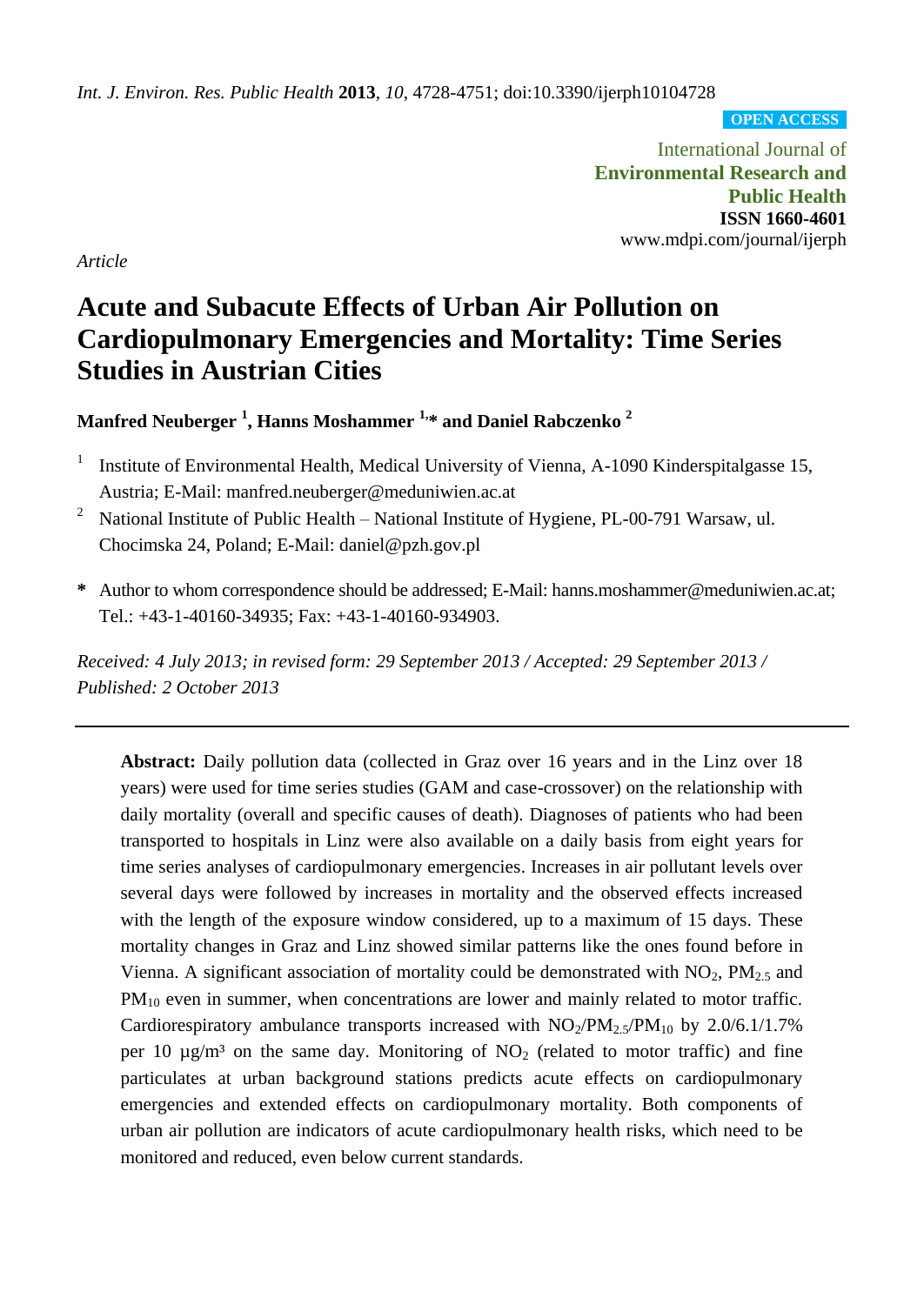*Int. J. Environ. Res. Public Health* **2013**, *10*, 4728-4751; doi:10.3390/ijerph10104728

**OPEN ACCESS**

International Journal of **Environmental Research and Public Health ISSN 1660-4601** www.mdpi.com/journal/ijerph

*Article*

# **Acute and Subacute Effects of Urban Air Pollution on Cardiopulmonary Emergencies and Mortality: Time Series Studies in Austrian Cities**

**Manfred Neuberger <sup>1</sup> , Hanns Moshammer 1, \* and Daniel Rabczenko <sup>2</sup>**

- 1 Institute of Environmental Health, Medical University of Vienna, A-1090 Kinderspitalgasse 15, Austria; E-Mail: manfred.neuberger@meduniwien.ac.at
- <sup>2</sup> National Institute of Public Health National Institute of Hygiene, PL-00-791 Warsaw, ul. Chocimska 24, Poland; E-Mail: daniel@pzh.gov.pl
- **\*** Author to whom correspondence should be addressed; E-Mail: hanns.moshammer@meduniwien.ac.at; Tel.: +43-1-40160-34935; Fax: +43-1-40160-934903.

*Received: 4 July 2013; in revised form: 29 September 2013 / Accepted: 29 September 2013 / Published: 2 October 2013*

**Abstract:** Daily pollution data (collected in Graz over 16 years and in the Linz over 18 years) were used for time series studies (GAM and case-crossover) on the relationship with daily mortality (overall and specific causes of death). Diagnoses of patients who had been transported to hospitals in Linz were also available on a daily basis from eight years for time series analyses of cardiopulmonary emergencies. Increases in air pollutant levels over several days were followed by increases in mortality and the observed effects increased with the length of the exposure window considered, up to a maximum of 15 days. These mortality changes in Graz and Linz showed similar patterns like the ones found before in Vienna. A significant association of mortality could be demonstrated with  $NO<sub>2</sub>$ ,  $PM<sub>2.5</sub>$  and PM<sub>10</sub> even in summer, when concentrations are lower and mainly related to motor traffic. Cardiorespiratory ambulance transports increased with  $NO<sub>2</sub>/PM<sub>2.5</sub>/PM<sub>10</sub>$  by 2.0/6.1/1.7% per 10  $\mu$ g/m<sup>3</sup> on the same day. Monitoring of NO<sub>2</sub> (related to motor traffic) and fine particulates at urban background stations predicts acute effects on cardiopulmonary emergencies and extended effects on cardiopulmonary mortality. Both components of urban air pollution are indicators of acute cardiopulmonary health risks, which need to be monitored and reduced, even below current standards.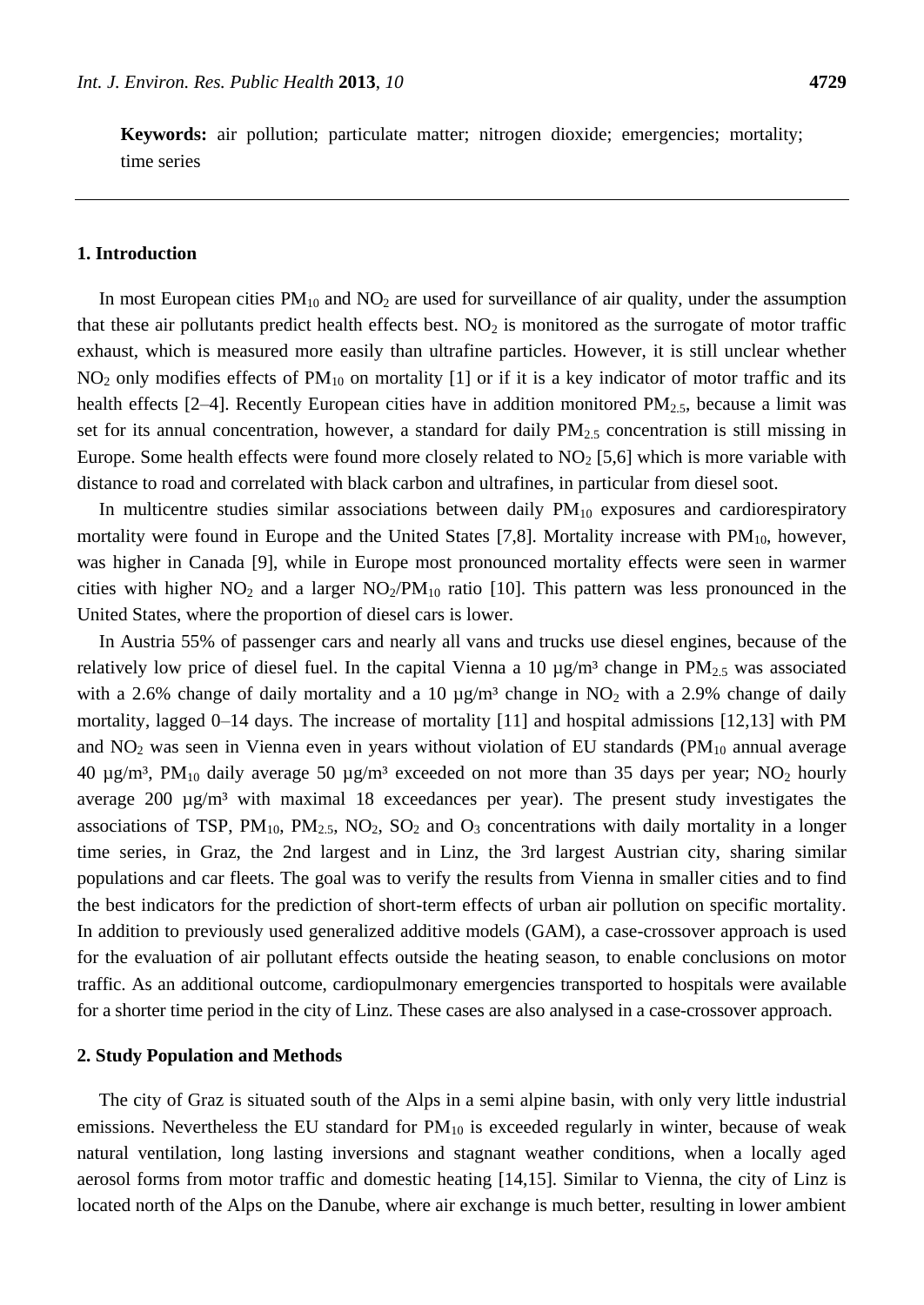**Keywords:** air pollution; particulate matter; nitrogen dioxide; emergencies; mortality; time series

### **1. Introduction**

In most European cities  $PM_{10}$  and  $NO<sub>2</sub>$  are used for surveillance of air quality, under the assumption that these air pollutants predict health effects best.  $NO<sub>2</sub>$  is monitored as the surrogate of motor traffic exhaust, which is measured more easily than ultrafine particles. However, it is still unclear whether  $NO<sub>2</sub>$  only modifies effects of  $PM<sub>10</sub>$  on mortality [1] or if it is a key indicator of motor traffic and its health effects  $[2-4]$ . Recently European cities have in addition monitored  $PM_{2.5}$ , because a limit was set for its annual concentration, however, a standard for daily PM<sub>2.5</sub> concentration is still missing in Europe. Some health effects were found more closely related to  $NO<sub>2</sub>$  [5,6] which is more variable with distance to road and correlated with black carbon and ultrafines, in particular from diesel soot.

In multicentre studies similar associations between daily  $PM_{10}$  exposures and cardiorespiratory mortality were found in Europe and the United States [7,8]. Mortality increase with  $PM_{10}$ , however, was higher in Canada [9], while in Europe most pronounced mortality effects were seen in warmer cities with higher  $NO_2$  and a larger  $NO_2/PM_{10}$  ratio [10]. This pattern was less pronounced in the United States, where the proportion of diesel cars is lower.

In Austria 55% of passenger cars and nearly all vans and trucks use diesel engines, because of the relatively low price of diesel fuel. In the capital Vienna a 10  $\mu$ g/m<sup>3</sup> change in PM<sub>2.5</sub> was associated with a 2.6% change of daily mortality and a 10  $\mu$ g/m<sup>3</sup> change in NO<sub>2</sub> with a 2.9% change of daily mortality, lagged 0–14 days. The increase of mortality [11] and hospital admissions [12,13] with PM and  $NO<sub>2</sub>$  was seen in Vienna even in years without violation of EU standards (PM<sub>10</sub> annual average 40  $\mu$ g/m<sup>3</sup>, PM<sub>10</sub> daily average 50  $\mu$ g/m<sup>3</sup> exceeded on not more than 35 days per year; NO<sub>2</sub> hourly average 200 µg/m<sup>3</sup> with maximal 18 exceedances per year). The present study investigates the associations of TSP,  $PM_{10}$ ,  $PM_{2.5}$ ,  $NO_2$ ,  $SO_2$  and  $O_3$  concentrations with daily mortality in a longer time series, in Graz, the 2nd largest and in Linz, the 3rd largest Austrian city, sharing similar populations and car fleets. The goal was to verify the results from Vienna in smaller cities and to find the best indicators for the prediction of short-term effects of urban air pollution on specific mortality. In addition to previously used generalized additive models (GAM), a case-crossover approach is used for the evaluation of air pollutant effects outside the heating season, to enable conclusions on motor traffic. As an additional outcome, cardiopulmonary emergencies transported to hospitals were available for a shorter time period in the city of Linz. These cases are also analysed in a case-crossover approach.

#### **2. Study Population and Methods**

The city of Graz is situated south of the Alps in a semi alpine basin, with only very little industrial emissions. Nevertheless the EU standard for  $PM_{10}$  is exceeded regularly in winter, because of weak natural ventilation, long lasting inversions and stagnant weather conditions, when a locally aged aerosol forms from motor traffic and domestic heating [14,15]. Similar to Vienna, the city of Linz is located north of the Alps on the Danube, where air exchange is much better, resulting in lower ambient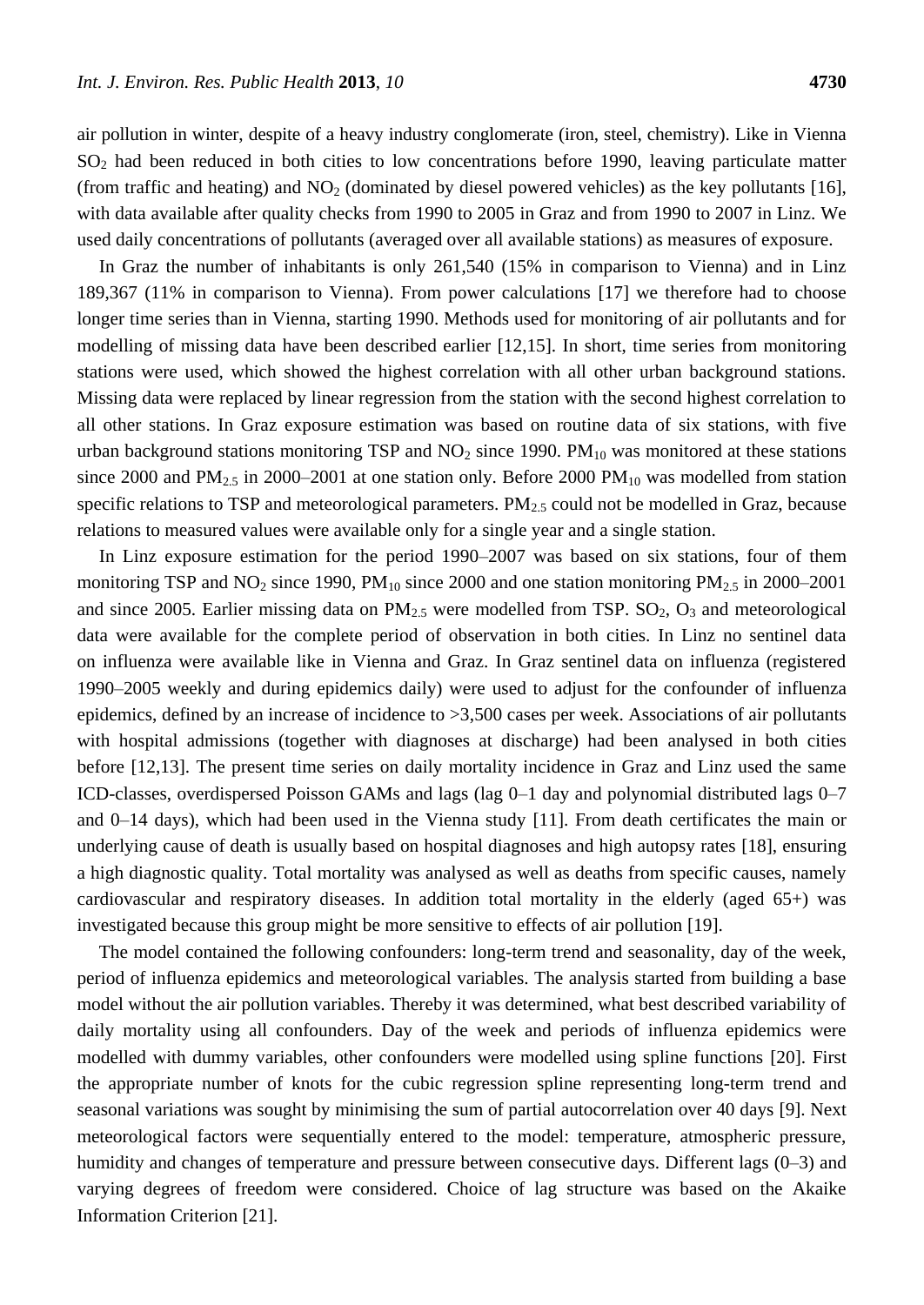air pollution in winter, despite of a heavy industry conglomerate (iron, steel, chemistry). Like in Vienna  $SO<sub>2</sub>$  had been reduced in both cities to low concentrations before 1990, leaving particulate matter (from traffic and heating) and  $NO<sub>2</sub>$  (dominated by diesel powered vehicles) as the key pollutants [16], with data available after quality checks from 1990 to 2005 in Graz and from 1990 to 2007 in Linz. We used daily concentrations of pollutants (averaged over all available stations) as measures of exposure.

In Graz the number of inhabitants is only 261,540 (15% in comparison to Vienna) and in Linz 189,367 (11% in comparison to Vienna). From power calculations [17] we therefore had to choose longer time series than in Vienna, starting 1990. Methods used for monitoring of air pollutants and for modelling of missing data have been described earlier [12,15]. In short, time series from monitoring stations were used, which showed the highest correlation with all other urban background stations. Missing data were replaced by linear regression from the station with the second highest correlation to all other stations. In Graz exposure estimation was based on routine data of six stations, with five urban background stations monitoring TSP and  $NO<sub>2</sub>$  since 1990. PM<sub>10</sub> was monitored at these stations since 2000 and  $PM_{2.5}$  in 2000–2001 at one station only. Before 2000  $PM_{10}$  was modelled from station specific relations to TSP and meteorological parameters.  $PM_{2.5}$  could not be modelled in Graz, because relations to measured values were available only for a single year and a single station.

In Linz exposure estimation for the period 1990–2007 was based on six stations, four of them monitoring TSP and  $NO_2$  since 1990, PM<sub>10</sub> since 2000 and one station monitoring PM<sub>2.5</sub> in 2000–2001 and since 2005. Earlier missing data on  $PM_{2.5}$  were modelled from TSP.  $SO_2$ ,  $O_3$  and meteorological data were available for the complete period of observation in both cities. In Linz no sentinel data on influenza were available like in Vienna and Graz. In Graz sentinel data on influenza (registered 1990–2005 weekly and during epidemics daily) were used to adjust for the confounder of influenza epidemics, defined by an increase of incidence to >3,500 cases per week. Associations of air pollutants with hospital admissions (together with diagnoses at discharge) had been analysed in both cities before [12,13]. The present time series on daily mortality incidence in Graz and Linz used the same ICD-classes, overdispersed Poisson GAMs and lags (lag 0–1 day and polynomial distributed lags 0–7 and 0–14 days), which had been used in the Vienna study [11]. From death certificates the main or underlying cause of death is usually based on hospital diagnoses and high autopsy rates [18], ensuring a high diagnostic quality. Total mortality was analysed as well as deaths from specific causes, namely cardiovascular and respiratory diseases. In addition total mortality in the elderly (aged 65+) was investigated because this group might be more sensitive to effects of air pollution [19].

The model contained the following confounders: long-term trend and seasonality, day of the week, period of influenza epidemics and meteorological variables. The analysis started from building a base model without the air pollution variables. Thereby it was determined, what best described variability of daily mortality using all confounders. Day of the week and periods of influenza epidemics were modelled with dummy variables, other confounders were modelled using spline functions [20]. First the appropriate number of knots for the cubic regression spline representing long-term trend and seasonal variations was sought by minimising the sum of partial autocorrelation over 40 days [9]. Next meteorological factors were sequentially entered to the model: temperature, atmospheric pressure, humidity and changes of temperature and pressure between consecutive days. Different lags (0–3) and varying degrees of freedom were considered. Choice of lag structure was based on the Akaike Information Criterion [21].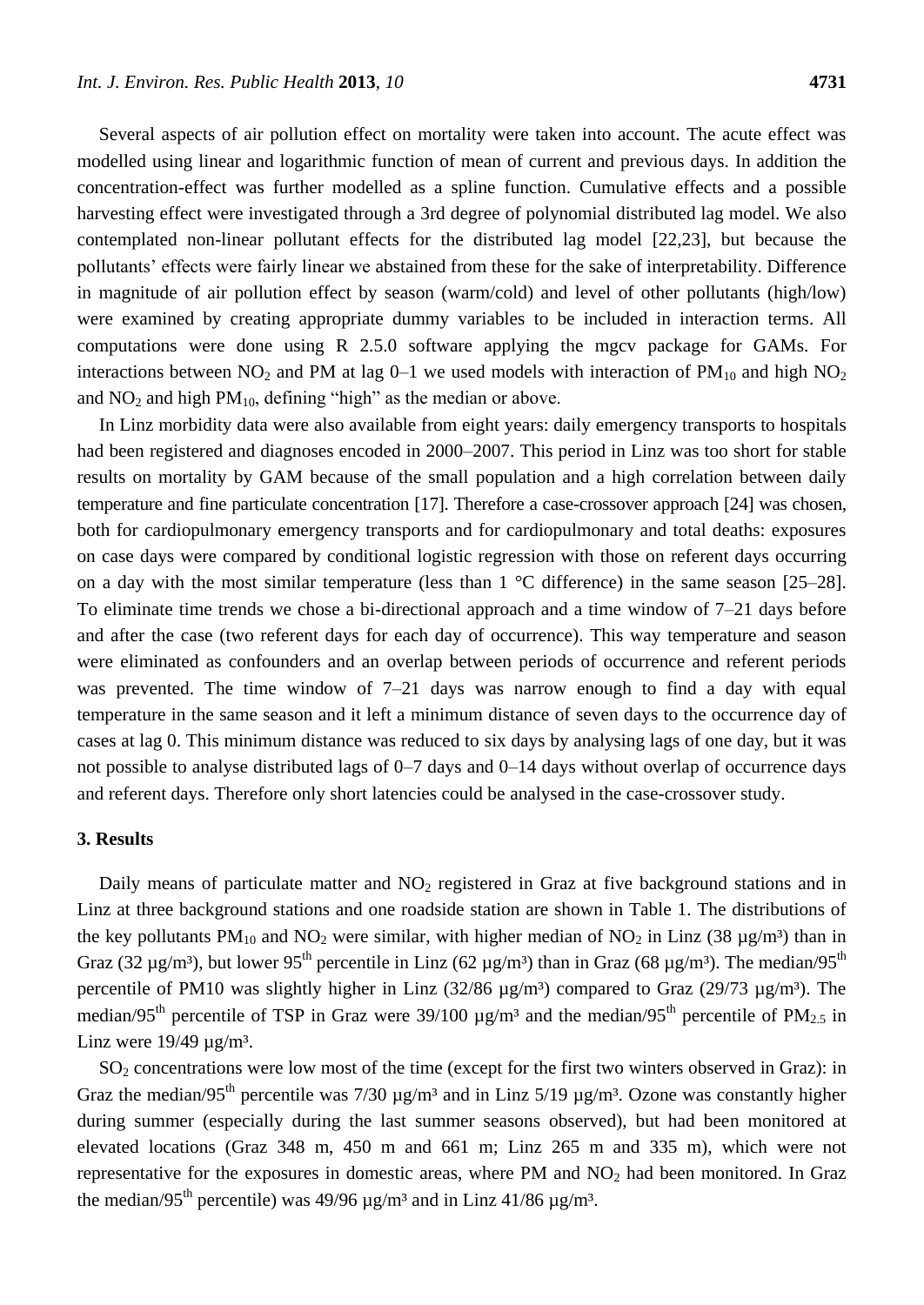Several aspects of air pollution effect on mortality were taken into account. The acute effect was modelled using linear and logarithmic function of mean of current and previous days. In addition the concentration-effect was further modelled as a spline function. Cumulative effects and a possible harvesting effect were investigated through a 3rd degree of polynomial distributed lag model. We also contemplated non-linear pollutant effects for the distributed lag model [22,23], but because the pollutants' effects were fairly linear we abstained from these for the sake of interpretability. Difference in magnitude of air pollution effect by season (warm/cold) and level of other pollutants (high/low) were examined by creating appropriate dummy variables to be included in interaction terms. All computations were done using R 2.5.0 software applying the mgcv package for GAMs. For interactions between  $NO_2$  and PM at lag  $O-1$  we used models with interaction of PM<sub>10</sub> and high  $NO_2$ and  $NO<sub>2</sub>$  and high  $PM<sub>10</sub>$ , defining "high" as the median or above.

In Linz morbidity data were also available from eight years: daily emergency transports to hospitals had been registered and diagnoses encoded in 2000–2007. This period in Linz was too short for stable results on mortality by GAM because of the small population and a high correlation between daily temperature and fine particulate concentration [17]. Therefore a case-crossover approach [24] was chosen, both for cardiopulmonary emergency transports and for cardiopulmonary and total deaths: exposures on case days were compared by conditional logistic regression with those on referent days occurring on a day with the most similar temperature (less than  $1 \text{ }^{\circ}$  C difference) in the same season [25–28]. To eliminate time trends we chose a bi-directional approach and a time window of 7–21 days before and after the case (two referent days for each day of occurrence). This way temperature and season were eliminated as confounders and an overlap between periods of occurrence and referent periods was prevented. The time window of 7–21 days was narrow enough to find a day with equal temperature in the same season and it left a minimum distance of seven days to the occurrence day of cases at lag 0. This minimum distance was reduced to six days by analysing lags of one day, but it was not possible to analyse distributed lags of 0–7 days and 0–14 days without overlap of occurrence days and referent days. Therefore only short latencies could be analysed in the case-crossover study.

## **3. Results**

Daily means of particulate matter and  $NO<sub>2</sub>$  registered in Graz at five background stations and in Linz at three background stations and one roadside station are shown in Table 1. The distributions of the key pollutants PM<sub>10</sub> and NO<sub>2</sub> were similar, with higher median of NO<sub>2</sub> in Linz (38 µg/m 3 than in Graz (32  $\mu$ g/m 3, but lower 95<sup>th</sup> percentile in Linz (62  $\mu$ g/m 3 than in Graz (68  $\mu$ g/m 3. The median/95<sup>th</sup> percentile of PM10 was slightly higher in Linz  $(32/86 \text{ µg/m}3)$  compared to Graz  $(29/73 \text{ µg/m}3)$ . The median/95<sup>th</sup> percentile of TSP in Graz were 39/100  $\mu$ g/m<sup>3</sup> and the median/95<sup>th</sup> percentile of PM<sub>2.5</sub> in Linz were  $19/49 \mu g/m$ ?

SO<sub>2</sub> concentrations were low most of the time (except for the first two winters observed in Graz): in Graz the median/95<sup>th</sup> percentile was 7/30  $\mu$ g/m<sup>3</sup> and in Linz 5/19  $\mu$ g/m<sup>3</sup>. Ozone was constantly higher during summer (especially during the last summer seasons observed), but had been monitored at elevated locations (Graz 348 m, 450 m and 661 m; Linz 265 m and 335 m), which were not representative for the exposures in domestic areas, where PM and NO<sub>2</sub> had been monitored. In Graz the median/95<sup>th</sup> percentile) was 49/96  $\mu$ g/m<sup>3</sup> and in Linz 41/86  $\mu$ g/m<sup>3</sup>.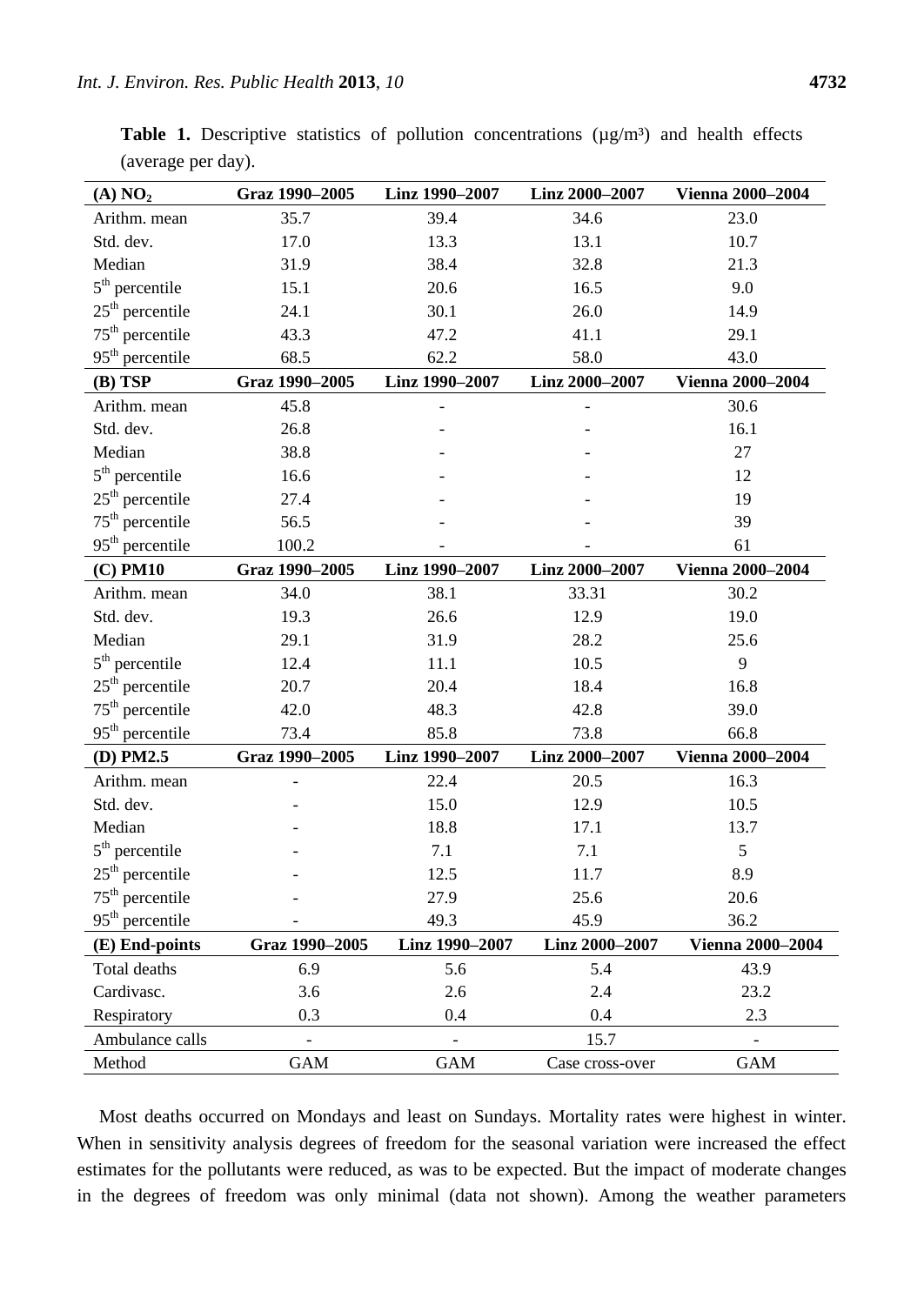| (A) NO <sub>2</sub> | Graz 1990-2005 | Linz 1990-2007 | Linz 2000-2007  | <b>Vienna 2000-2004</b> |
|---------------------|----------------|----------------|-----------------|-------------------------|
| Arithm. mean        | 35.7           | 39.4           | 34.6            | 23.0                    |
| Std. dev.           | 17.0           | 13.3           | 13.1            | 10.7                    |
| Median              | 31.9           | 38.4           | 32.8            | 21.3                    |
| $5th$ percentile    | 15.1           | 20.6           | 16.5            | 9.0                     |
| $25th$ percentile   | 24.1           | 30.1           | 26.0            | 14.9                    |
| $75th$ percentile   | 43.3           | 47.2           | 41.1            | 29.1                    |
| $95th$ percentile   | 68.5           | 62.2           | 58.0            | 43.0                    |
| (B) TSP             | Graz 1990-2005 | Linz 1990-2007 | Linz 2000-2007  | <b>Vienna 2000-2004</b> |
| Arithm. mean        | 45.8           |                |                 | 30.6                    |
| Std. dev.           | 26.8           |                |                 | 16.1                    |
| Median              | 38.8           |                |                 | 27                      |
| $5th$ percentile    | 16.6           |                |                 | 12                      |
| $25th$ percentile   | 27.4           |                |                 | 19                      |
| $75th$ percentile   | 56.5           |                |                 | 39                      |
| $95th$ percentile   | 100.2          |                |                 | 61                      |
| $(C)$ PM10          | Graz 1990-2005 | Linz 1990-2007 | Linz 2000-2007  | <b>Vienna 2000-2004</b> |
| Arithm. mean        | 34.0           | 38.1           | 33.31           | 30.2                    |
| Std. dev.           | 19.3           | 26.6           | 12.9            | 19.0                    |
| Median              | 29.1           | 31.9           | 28.2            | 25.6                    |
| $5th$ percentile    | 12.4           | 11.1           | 10.5            | 9                       |
| $25th$ percentile   | 20.7           | 20.4           | 18.4            | 16.8                    |
| $75th$ percentile   | 42.0           | 48.3           | 42.8            | 39.0                    |
| $95th$ percentile   | 73.4           | 85.8           | 73.8            | 66.8                    |
| $(D)$ PM2.5         | Graz 1990-2005 | Linz 1990-2007 | Linz 2000-2007  | <b>Vienna 2000-2004</b> |
| Arithm. mean        |                | 22.4           | 20.5            | 16.3                    |
| Std. dev.           |                | 15.0           | 12.9            | 10.5                    |
| Median              |                | 18.8           | 17.1            | 13.7                    |
| $5th$ percentile    |                | 7.1            | 7.1             | 5                       |
| $25th$ percentile   |                | 12.5           | 11.7            | 8.9                     |
| $75th$ percentile   |                | 27.9           | 25.6            | 20.6                    |
| $95th$ percentile   |                | 49.3           | 45.9            | 36.2                    |
| (E) End-points      | Graz 1990-2005 | Linz 1990-2007 | Linz 2000-2007  | <b>Vienna 2000-2004</b> |
| Total deaths        | 6.9            | 5.6            | 5.4             | 43.9                    |
| Cardivasc.          | 3.6            | 2.6            | 2.4             | 23.2                    |
| Respiratory         | 0.3            | 0.4            | 0.4             | 2.3                     |
| Ambulance calls     |                |                | 15.7            |                         |
| Method              | <b>GAM</b>     | <b>GAM</b>     | Case cross-over | <b>GAM</b>              |

Table 1. Descriptive statistics of pollution concentrations ( $\mu$ g/m 3) and health effects (average per day).

Most deaths occurred on Mondays and least on Sundays. Mortality rates were highest in winter. When in sensitivity analysis degrees of freedom for the seasonal variation were increased the effect estimates for the pollutants were reduced, as was to be expected. But the impact of moderate changes in the degrees of freedom was only minimal (data not shown). Among the weather parameters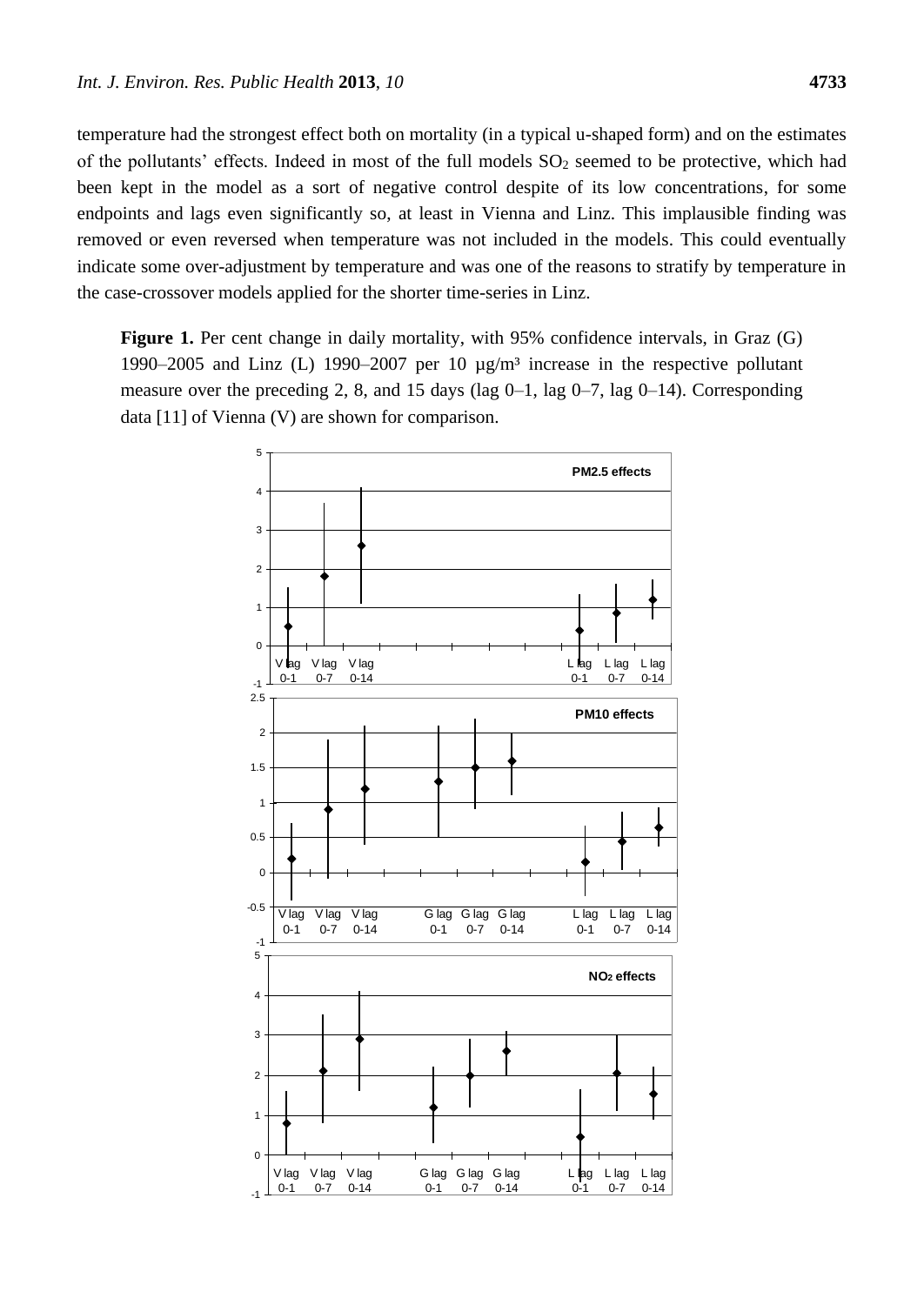temperature had the strongest effect both on mortality (in a typical u-shaped form) and on the estimates of the pollutants' effects. Indeed in most of the full models  $SO_2$  seemed to be protective, which had been kept in the model as a sort of negative control despite of its low concentrations, for some endpoints and lags even significantly so, at least in Vienna and Linz. This implausible finding was removed or even reversed when temperature was not included in the models. This could eventually indicate some over-adjustment by temperature and was one of the reasons to stratify by temperature in the case-crossover models applied for the shorter time-series in Linz.

Figure 1. Per cent change in daily mortality, with 95% confidence intervals, in Graz (G) 1990–2005 and Linz (L) 1990–2007 per 10  $\mu$ g/m<sup>3</sup> increase in the respective pollutant measure over the preceding 2, 8, and 15 days (lag 0–1, lag 0–7, lag 0–14). Corresponding data [11] of Vienna (V) are shown for comparison.

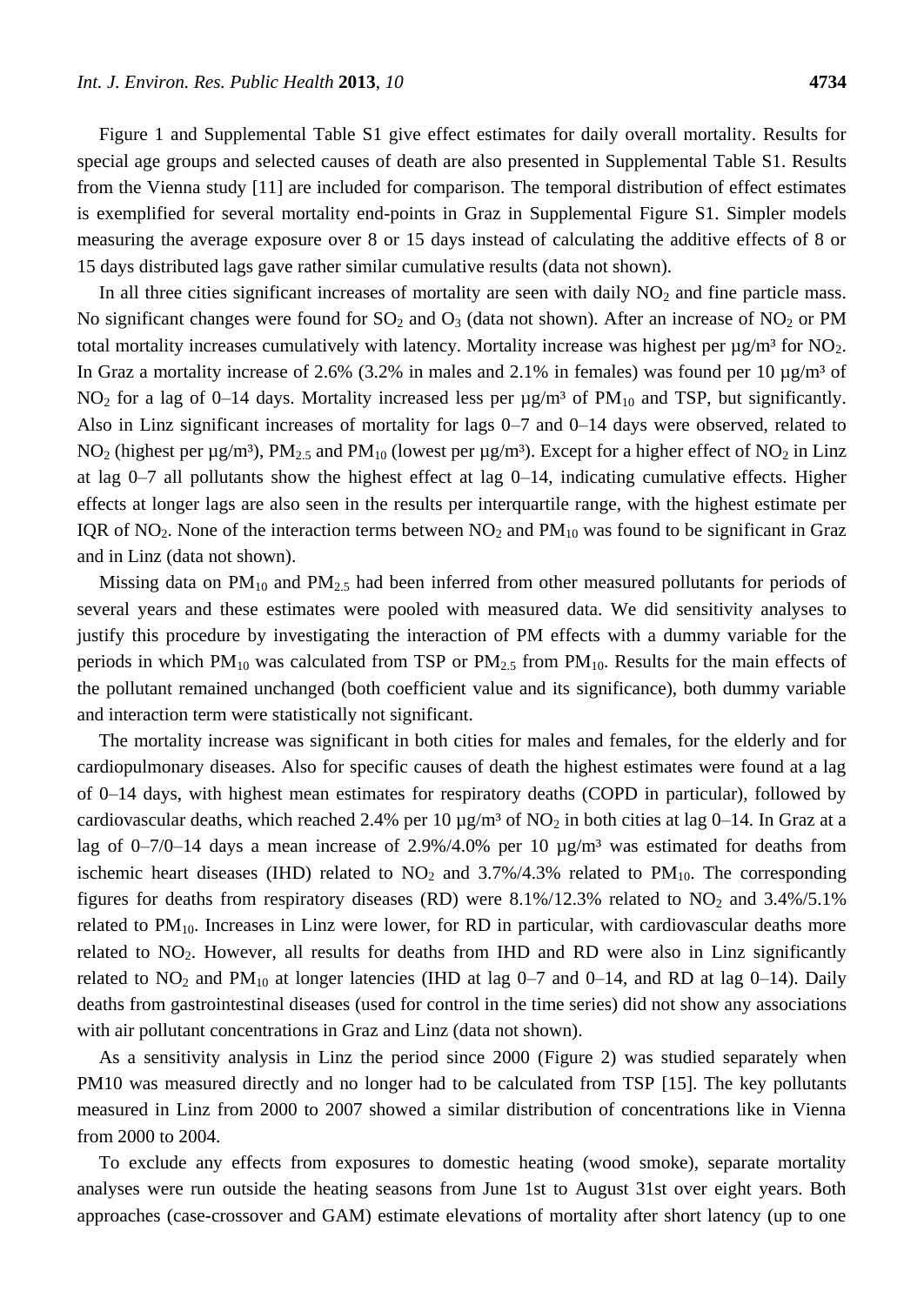Figure 1 and Supplemental Table S1 give effect estimates for daily overall mortality. Results for special age groups and selected causes of death are also presented in Supplemental Table S1. Results from the Vienna study [11] are included for comparison. The temporal distribution of effect estimates is exemplified for several mortality end-points in Graz in Supplemental Figure S1. Simpler models measuring the average exposure over 8 or 15 days instead of calculating the additive effects of 8 or 15 days distributed lags gave rather similar cumulative results (data not shown).

In all three cities significant increases of mortality are seen with daily  $NO<sub>2</sub>$  and fine particle mass. No significant changes were found for  $SO_2$  and  $O_3$  (data not shown). After an increase of  $NO_2$  or PM total mortality increases cumulatively with latency. Mortality increase was highest per  $\mu$ g/m  ${}^{3}$ for NO<sub>2</sub>. In Graz a mortality increase of 2.6% (3.2% in males and 2.1% in females) was found per 10  $\mu$ g/m<sup>3</sup> of NO<sub>2</sub> for a lag of 0–14 days. Mortality increased less per  $\mu$ g/m<sup>3</sup> of PM<sub>10</sub> and TSP, but significantly. Also in Linz significant increases of mortality for lags 0–7 and 0–14 days were observed, related to NO<sub>2</sub> (highest per  $\mu$ g/m 3, PM<sub>2.5</sub> and PM<sub>10</sub> (lowest per  $\mu$ g/m 3. Except for a higher effect of NO<sub>2</sub> in Linz at lag 0–7 all pollutants show the highest effect at lag 0–14, indicating cumulative effects. Higher effects at longer lags are also seen in the results per interquartile range, with the highest estimate per IQR of NO<sub>2</sub>. None of the interaction terms between  $NO<sub>2</sub>$  and  $PM<sub>10</sub>$  was found to be significant in Graz and in Linz (data not shown).

Missing data on  $PM_{10}$  and  $PM_{2.5}$  had been inferred from other measured pollutants for periods of several years and these estimates were pooled with measured data. We did sensitivity analyses to justify this procedure by investigating the interaction of PM effects with a dummy variable for the periods in which  $PM_{10}$  was calculated from TSP or  $PM_{2.5}$  from  $PM_{10}$ . Results for the main effects of the pollutant remained unchanged (both coefficient value and its significance), both dummy variable and interaction term were statistically not significant.

The mortality increase was significant in both cities for males and females, for the elderly and for cardiopulmonary diseases. Also for specific causes of death the highest estimates were found at a lag of 0–14 days, with highest mean estimates for respiratory deaths (COPD in particular), followed by cardiovascular deaths, which reached 2.4% per 10  $\mu$ g/m <sup>3</sup> of NO<sub>2</sub> in both cities at lag 0–14. In Graz at a lag of 0–7/0–14 days a mean increase of 2.9%/4.0% per 10  $\mu$ g/m<sup>3</sup> was estimated for deaths from ischemic heart diseases (IHD) related to  $NO<sub>2</sub>$  and 3.7%/4.3% related to  $PM<sub>10</sub>$ . The corresponding figures for deaths from respiratory diseases (RD) were  $8.1\%/12.3\%$  related to NO<sub>2</sub> and  $3.4\%/5.1\%$ related to  $PM_{10}$ . Increases in Linz were lower, for RD in particular, with cardiovascular deaths more related to  $NO<sub>2</sub>$ . However, all results for deaths from IHD and RD were also in Linz significantly related to  $NO<sub>2</sub>$  and  $PM<sub>10</sub>$  at longer latencies (IHD at lag 0–7 and 0–14, and RD at lag 0–14). Daily deaths from gastrointestinal diseases (used for control in the time series) did not show any associations with air pollutant concentrations in Graz and Linz (data not shown).

As a sensitivity analysis in Linz the period since 2000 (Figure 2) was studied separately when PM10 was measured directly and no longer had to be calculated from TSP [15]. The key pollutants measured in Linz from 2000 to 2007 showed a similar distribution of concentrations like in Vienna from 2000 to 2004.

To exclude any effects from exposures to domestic heating (wood smoke), separate mortality analyses were run outside the heating seasons from June 1st to August 31st over eight years. Both approaches (case-crossover and GAM) estimate elevations of mortality after short latency (up to one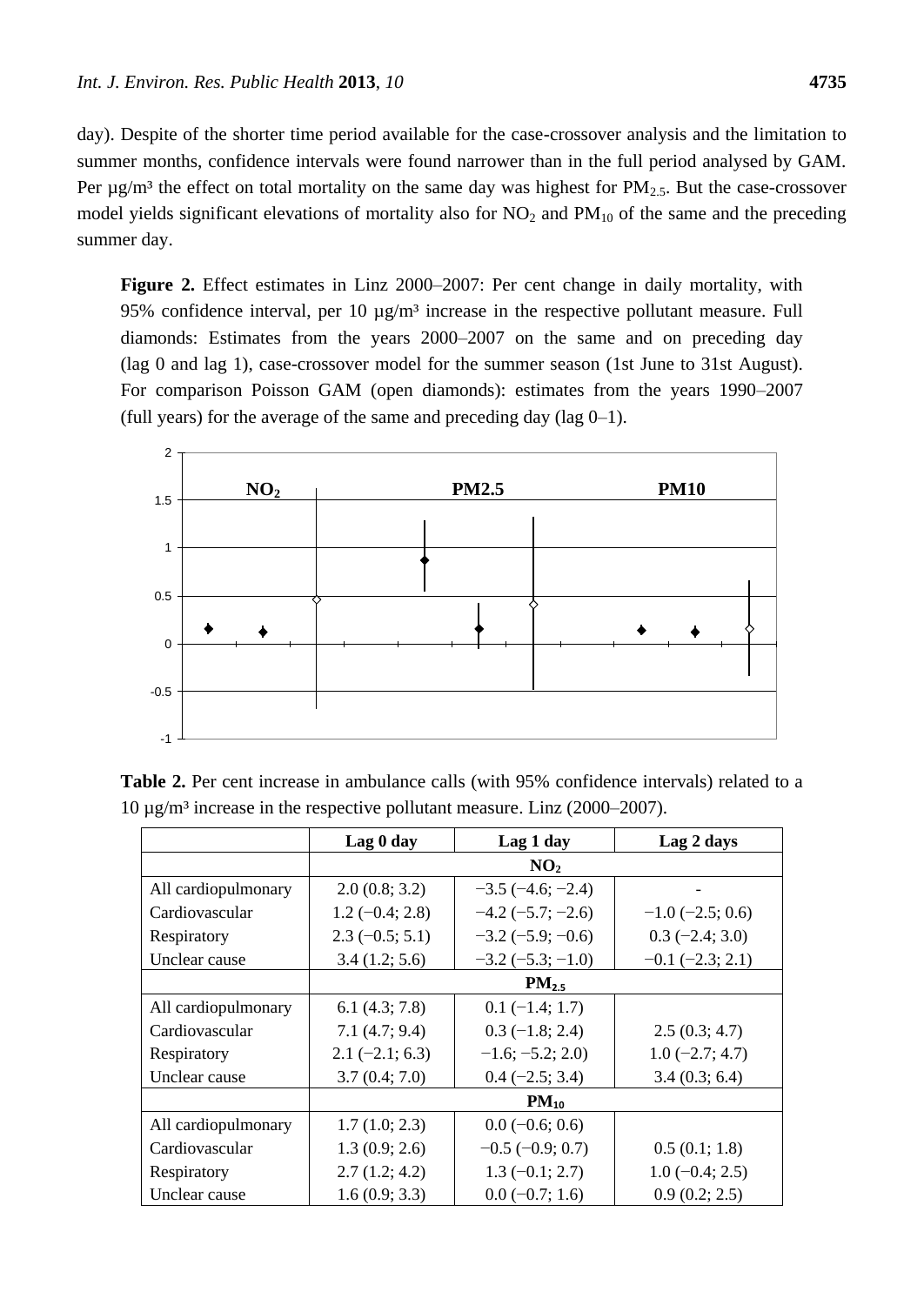day). Despite of the shorter time period available for the case-crossover analysis and the limitation to summer months, confidence intervals were found narrower than in the full period analysed by GAM. Per  $\mu$ g/m<sup>3</sup> the effect on total mortality on the same day was highest for PM<sub>2.5</sub>. But the case-crossover model yields significant elevations of mortality also for  $NO_2$  and  $PM_{10}$  of the same and the preceding summer day.

**Figure 2.** Effect estimates in Linz 2000–2007: Per cent change in daily mortality, with 95% confidence interval, per 10  $\mu$ g/m<sup>3</sup> increase in the respective pollutant measure. Full diamonds: Estimates from the years 2000–2007 on the same and on preceding day (lag 0 and lag 1), case-crossover model for the summer season (1st June to 31st August). For comparison Poisson GAM (open diamonds): estimates from the years 1990–2007 (full years) for the average of the same and preceding day ( $\log 0-1$ ).



**Table 2.** Per cent increase in ambulance calls (with 95% confidence intervals) related to a 10 μg/m <sup>3</sup> increase in the respective pollutant measure. Linz (2000–2007).

|                     | Lag 0 day        | Lag 1 day                  | Lag 2 days             |
|---------------------|------------------|----------------------------|------------------------|
|                     |                  | NO <sub>2</sub>            |                        |
| All cardiopulmonary | 2.0(0.8; 3.2)    | $-3.5(-4.6; -2.4)$         |                        |
| Cardiovascular      | $1.2(-0.4; 2.8)$ | $-4.2$ ( $-5.7$ ; $-2.6$ ) | $-1.0$ ( $-2.5$ ; 0.6) |
| Respiratory         | $2.3(-0.5; 5.1)$ | $-3.2(-5.9; -0.6)$         | $0.3$ (-2.4; 3.0)      |
| Unclear cause       | 3.4(1.2; 5.6)    | $-3.2(-5.3; -1.0)$         | $-0.1$ $(-2.3; 2.1)$   |
|                     |                  | $PM_{2.5}$                 |                        |
| All cardiopulmonary | 6.1(4.3; 7.8)    | $0.1 (-1.4; 1.7)$          |                        |
| Cardiovascular      | 7.1(4.7; 9.4)    | $0.3$ (-1.8; 2.4)          | 2.5(0.3; 4.7)          |
| Respiratory         | $2.1(-2.1; 6.3)$ | $-1.6; -5.2; 2.0)$         | $1.0(-2.7; 4.7)$       |
| Unclear cause       | 3.7(0.4; 7.0)    | $0.4 (-2.5; 3.4)$          | 3.4(0.3; 6.4)          |
|                     |                  | $PM_{10}$                  |                        |
| All cardiopulmonary | 1.7(1.0; 2.3)    | $0.0$ (-0.6; 0.6)          |                        |
| Cardiovascular      | 1.3(0.9; 2.6)    | $-0.5$ ( $-0.9$ ; 0.7)     | 0.5(0.1; 1.8)          |
| Respiratory         | 2.7(1.2; 4.2)    | $1.3(-0.1; 2.7)$           | $1.0(-0.4; 2.5)$       |
| Unclear cause       | 1.6(0.9; 3.3)    | $0.0 (-0.7; 1.6)$          | 0.9(0.2; 2.5)          |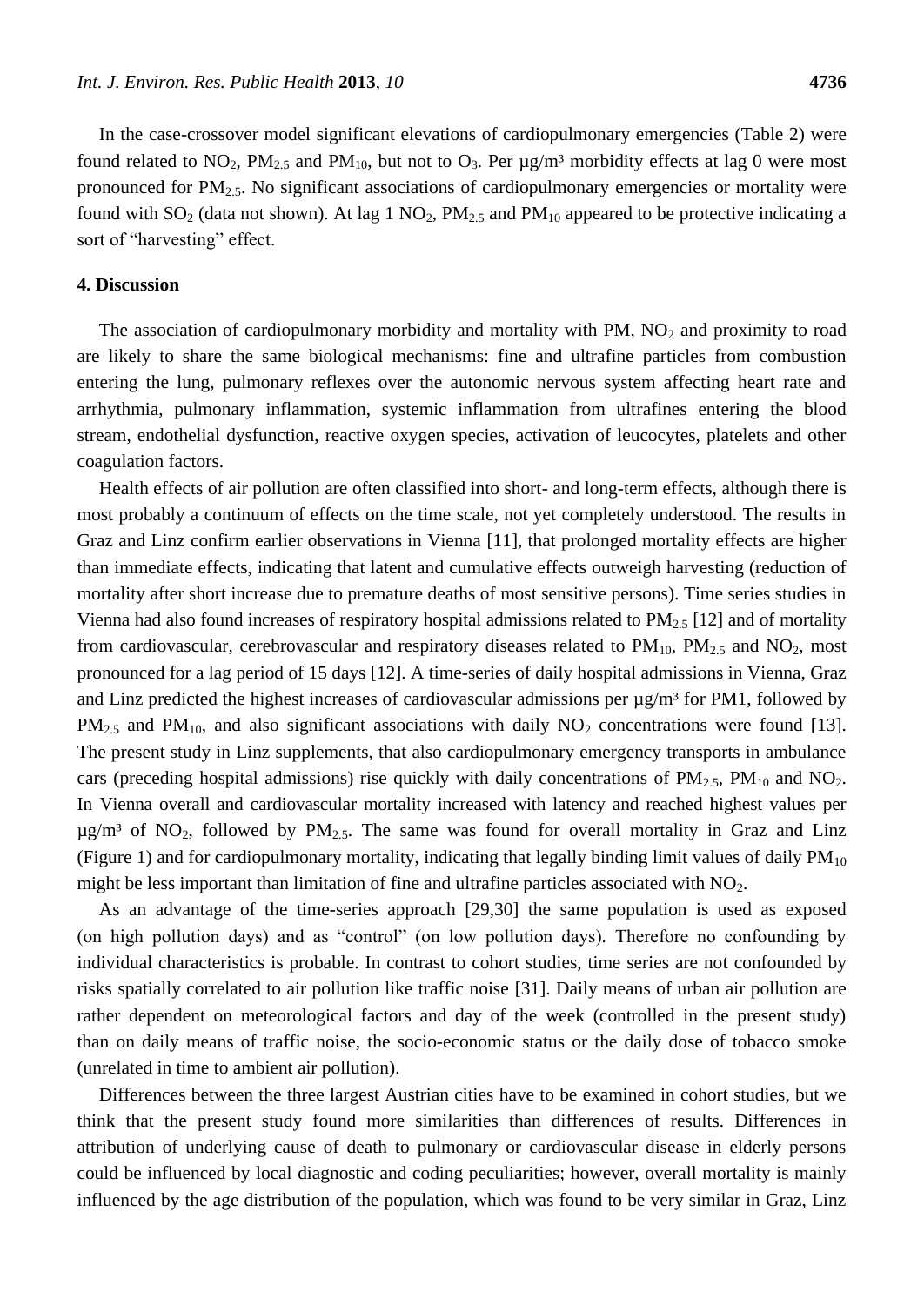In the case-crossover model significant elevations of cardiopulmonary emergencies (Table 2) were found related to  $NO_2$ ,  $PM_{2.5}$  and  $PM_{10}$ , but not to  $O_3$ . Per  $\mu$ g/m<sup>3</sup> morbidity effects at lag 0 were most pronounced for  $PM_{2.5}$ . No significant associations of cardiopulmonary emergencies or mortality were found with  $SO_2$  (data not shown). At lag 1  $NO_2$ ,  $PM_{2.5}$  and  $PM_{10}$  appeared to be protective indicating a sort of "harvesting" effect.

## **4. Discussion**

The association of cardiopulmonary morbidity and mortality with PM,  $NO<sub>2</sub>$  and proximity to road are likely to share the same biological mechanisms: fine and ultrafine particles from combustion entering the lung, pulmonary reflexes over the autonomic nervous system affecting heart rate and arrhythmia, pulmonary inflammation, systemic inflammation from ultrafines entering the blood stream, endothelial dysfunction, reactive oxygen species, activation of leucocytes, platelets and other coagulation factors.

Health effects of air pollution are often classified into short- and long-term effects, although there is most probably a continuum of effects on the time scale, not yet completely understood. The results in Graz and Linz confirm earlier observations in Vienna [11], that prolonged mortality effects are higher than immediate effects, indicating that latent and cumulative effects outweigh harvesting (reduction of mortality after short increase due to premature deaths of most sensitive persons). Time series studies in Vienna had also found increases of respiratory hospital admissions related to  $PM_{2.5}$  [12] and of mortality from cardiovascular, cerebrovascular and respiratory diseases related to  $PM_{10}$ ,  $PM_{2.5}$  and  $NO_2$ , most pronounced for a lag period of 15 days [12]. A time-series of daily hospital admissions in Vienna, Graz and Linz predicted the highest increases of cardiovascular admissions per  $\mu$ g/m <sup>3</sup> for PM1, followed by  $PM_{2.5}$  and  $PM_{10}$ , and also significant associations with daily  $NO_2$  concentrations were found [13]. The present study in Linz supplements, that also cardiopulmonary emergency transports in ambulance cars (preceding hospital admissions) rise quickly with daily concentrations of  $PM_{2.5}$ ,  $PM_{10}$  and  $NO_2$ . In Vienna overall and cardiovascular mortality increased with latency and reached highest values per  $\mu$ g/m<sup>3</sup> of NO<sub>2</sub>, followed by PM<sub>2.5</sub>. The same was found for overall mortality in Graz and Linz (Figure 1) and for cardiopulmonary mortality, indicating that legally binding limit values of daily  $PM_{10}$ might be less important than limitation of fine and ultrafine particles associated with  $NO<sub>2</sub>$ .

As an advantage of the time-series approach [29,30] the same population is used as exposed (on high pollution days) and as "control" (on low pollution days). Therefore no confounding by individual characteristics is probable. In contrast to cohort studies, time series are not confounded by risks spatially correlated to air pollution like traffic noise [31]. Daily means of urban air pollution are rather dependent on meteorological factors and day of the week (controlled in the present study) than on daily means of traffic noise, the socio-economic status or the daily dose of tobacco smoke (unrelated in time to ambient air pollution).

Differences between the three largest Austrian cities have to be examined in cohort studies, but we think that the present study found more similarities than differences of results. Differences in attribution of underlying cause of death to pulmonary or cardiovascular disease in elderly persons could be influenced by local diagnostic and coding peculiarities; however, overall mortality is mainly influenced by the age distribution of the population, which was found to be very similar in Graz, Linz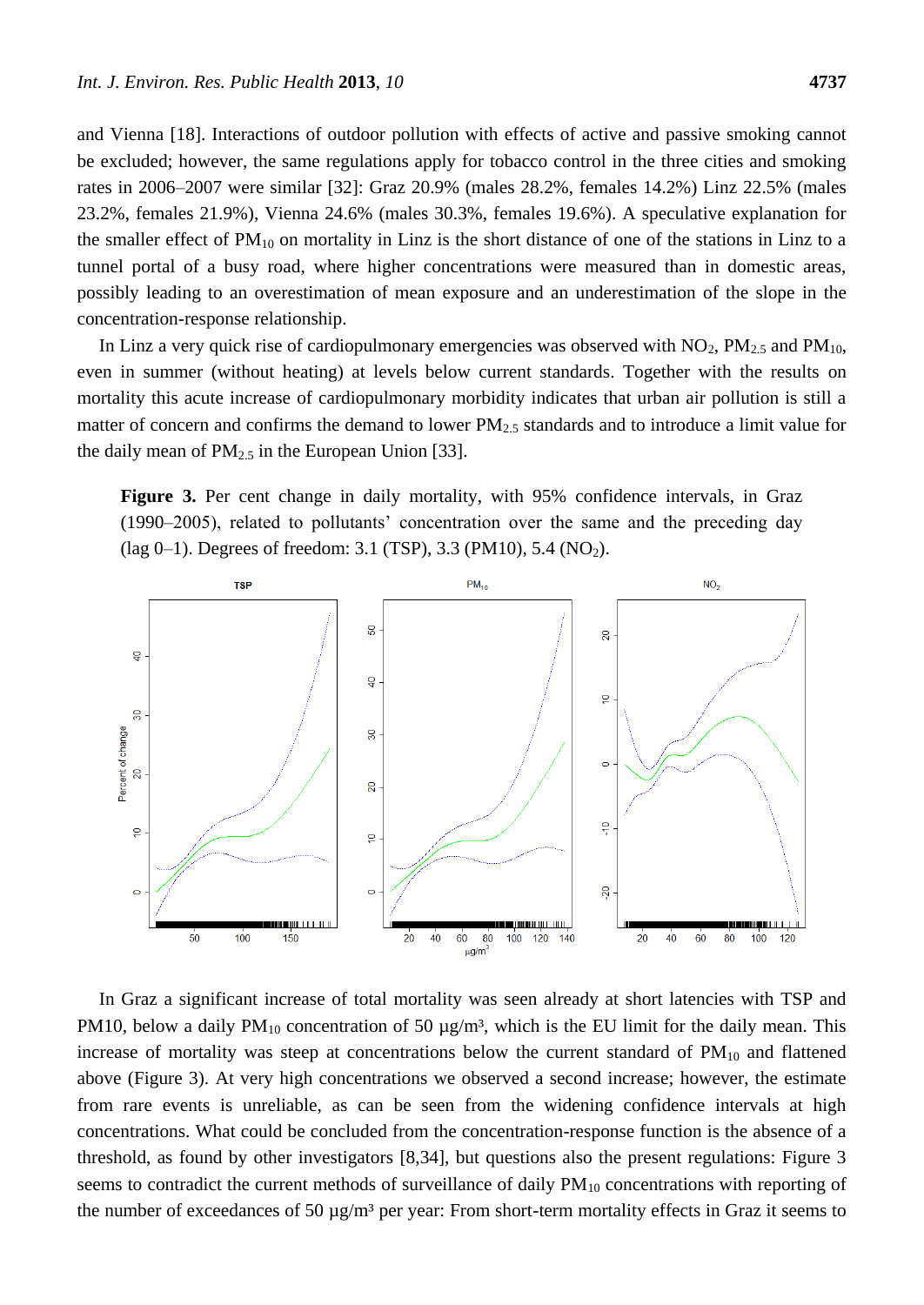and Vienna [18]. Interactions of outdoor pollution with effects of active and passive smoking cannot be excluded; however, the same regulations apply for tobacco control in the three cities and smoking rates in 2006–2007 were similar [32]: Graz 20.9% (males 28.2%, females 14.2%) Linz 22.5% (males 23.2%, females 21.9%), Vienna 24.6% (males 30.3%, females 19.6%). A speculative explanation for the smaller effect of  $PM_{10}$  on mortality in Linz is the short distance of one of the stations in Linz to a tunnel portal of a busy road, where higher concentrations were measured than in domestic areas, possibly leading to an overestimation of mean exposure and an underestimation of the slope in the concentration-response relationship.

In Linz a very quick rise of cardiopulmonary emergencies was observed with  $NO_2$ ,  $PM_{2.5}$  and  $PM_{10}$ , even in summer (without heating) at levels below current standards. Together with the results on mortality this acute increase of cardiopulmonary morbidity indicates that urban air pollution is still a matter of concern and confirms the demand to lower PM<sub>2.5</sub> standards and to introduce a limit value for the daily mean of  $PM_{2.5}$  in the European Union [33].

**Figure 3.** Per cent change in daily mortality, with 95% confidence intervals, in Graz (1990–2005), related to pollutants' concentration over the same and the preceding day (lag 0–1). Degrees of freedom: 3.1 (TSP), 3.3 (PM10), 5.4 (NO<sub>2</sub>).



In Graz a significant increase of total mortality was seen already at short latencies with TSP and PM10, below a daily  $PM_{10}$  concentration of 50  $\mu$ g/m<sup>3</sup>, which is the EU limit for the daily mean. This increase of mortality was steep at concentrations below the current standard of  $PM_{10}$  and flattened above (Figure 3). At very high concentrations we observed a second increase; however, the estimate from rare events is unreliable, as can be seen from the widening confidence intervals at high concentrations. What could be concluded from the concentration-response function is the absence of a threshold, as found by other investigators [8,34], but questions also the present regulations: Figure 3 seems to contradict the current methods of surveillance of daily  $PM_{10}$  concentrations with reporting of the number of exceedances of 50  $\mu$ g/m<sup>3</sup> per year: From short-term mortality effects in Graz it seems to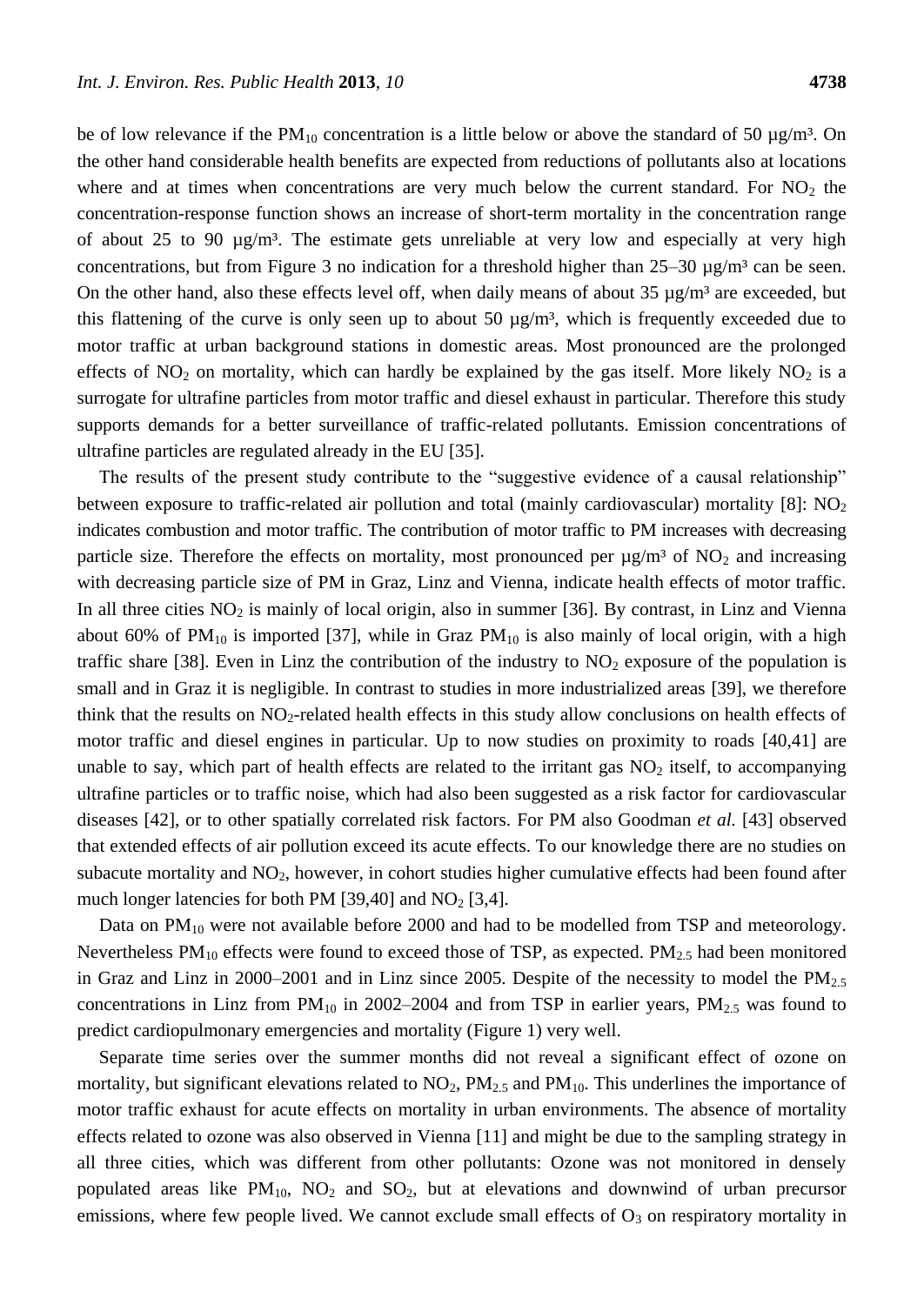be of low relevance if the PM<sub>10</sub> concentration is a little below or above the standard of 50  $\mu$ g/m<sup>3</sup>. On the other hand considerable health benefits are expected from reductions of pollutants also at locations where and at times when concentrations are very much below the current standard. For  $NO<sub>2</sub>$  the concentration-response function shows an increase of short-term mortality in the concentration range of about 25 to 90  $\mu$ g/m<sup>3</sup>. The estimate gets unreliable at very low and especially at very high concentrations, but from Figure 3 no indication for a threshold higher than  $25-30 \mu g/m^3$  can be seen. On the other hand, also these effects level off, when daily means of about 35  $\mu$ g/m <sup>3</sup> are exceeded, but this flattening of the curve is only seen up to about 50  $\mu$ g/m<sup>3</sup>, which is frequently exceeded due to motor traffic at urban background stations in domestic areas. Most pronounced are the prolonged effects of  $NO<sub>2</sub>$  on mortality, which can hardly be explained by the gas itself. More likely  $NO<sub>2</sub>$  is a surrogate for ultrafine particles from motor traffic and diesel exhaust in particular. Therefore this study supports demands for a better surveillance of traffic-related pollutants. Emission concentrations of ultrafine particles are regulated already in the EU [35].

The results of the present study contribute to the "suggestive evidence of a causal relationship" between exposure to traffic-related air pollution and total (mainly cardiovascular) mortality [8]:  $NO<sub>2</sub>$ indicates combustion and motor traffic. The contribution of motor traffic to PM increases with decreasing particle size. Therefore the effects on mortality, most pronounced per  $\mu$ g/m<sup>3</sup> of NO<sub>2</sub> and increasing with decreasing particle size of PM in Graz, Linz and Vienna, indicate health effects of motor traffic. In all three cities  $NO<sub>2</sub>$  is mainly of local origin, also in summer [36]. By contrast, in Linz and Vienna about 60% of  $PM_{10}$  is imported [37], while in Graz  $PM_{10}$  is also mainly of local origin, with a high traffic share [38]. Even in Linz the contribution of the industry to  $NO<sub>2</sub>$  exposure of the population is small and in Graz it is negligible. In contrast to studies in more industrialized areas [39], we therefore think that the results on  $NO<sub>2</sub>$ -related health effects in this study allow conclusions on health effects of motor traffic and diesel engines in particular. Up to now studies on proximity to roads [40,41] are unable to say, which part of health effects are related to the irritant gas  $NO<sub>2</sub>$  itself, to accompanying ultrafine particles or to traffic noise, which had also been suggested as a risk factor for cardiovascular diseases [42], or to other spatially correlated risk factors. For PM also Goodman *et al.* [43] observed that extended effects of air pollution exceed its acute effects. To our knowledge there are no studies on subacute mortality and  $NO<sub>2</sub>$ , however, in cohort studies higher cumulative effects had been found after much longer latencies for both PM  $[39,40]$  and NO<sub>2</sub>  $[3,4]$ .

Data on  $PM_{10}$  were not available before 2000 and had to be modelled from TSP and meteorology. Nevertheless  $PM_{10}$  effects were found to exceed those of TSP, as expected.  $PM_{2.5}$  had been monitored in Graz and Linz in 2000–2001 and in Linz since 2005. Despite of the necessity to model the  $PM_{2.5}$ concentrations in Linz from  $PM_{10}$  in 2002–2004 and from TSP in earlier years,  $PM_{2.5}$  was found to predict cardiopulmonary emergencies and mortality (Figure 1) very well.

Separate time series over the summer months did not reveal a significant effect of ozone on mortality, but significant elevations related to  $NO<sub>2</sub>$ ,  $PM<sub>2.5</sub>$  and  $PM<sub>10</sub>$ . This underlines the importance of motor traffic exhaust for acute effects on mortality in urban environments. The absence of mortality effects related to ozone was also observed in Vienna [11] and might be due to the sampling strategy in all three cities, which was different from other pollutants: Ozone was not monitored in densely populated areas like  $PM_{10}$ ,  $NO<sub>2</sub>$  and  $SO<sub>2</sub>$ , but at elevations and downwind of urban precursor emissions, where few people lived. We cannot exclude small effects of  $O_3$  on respiratory mortality in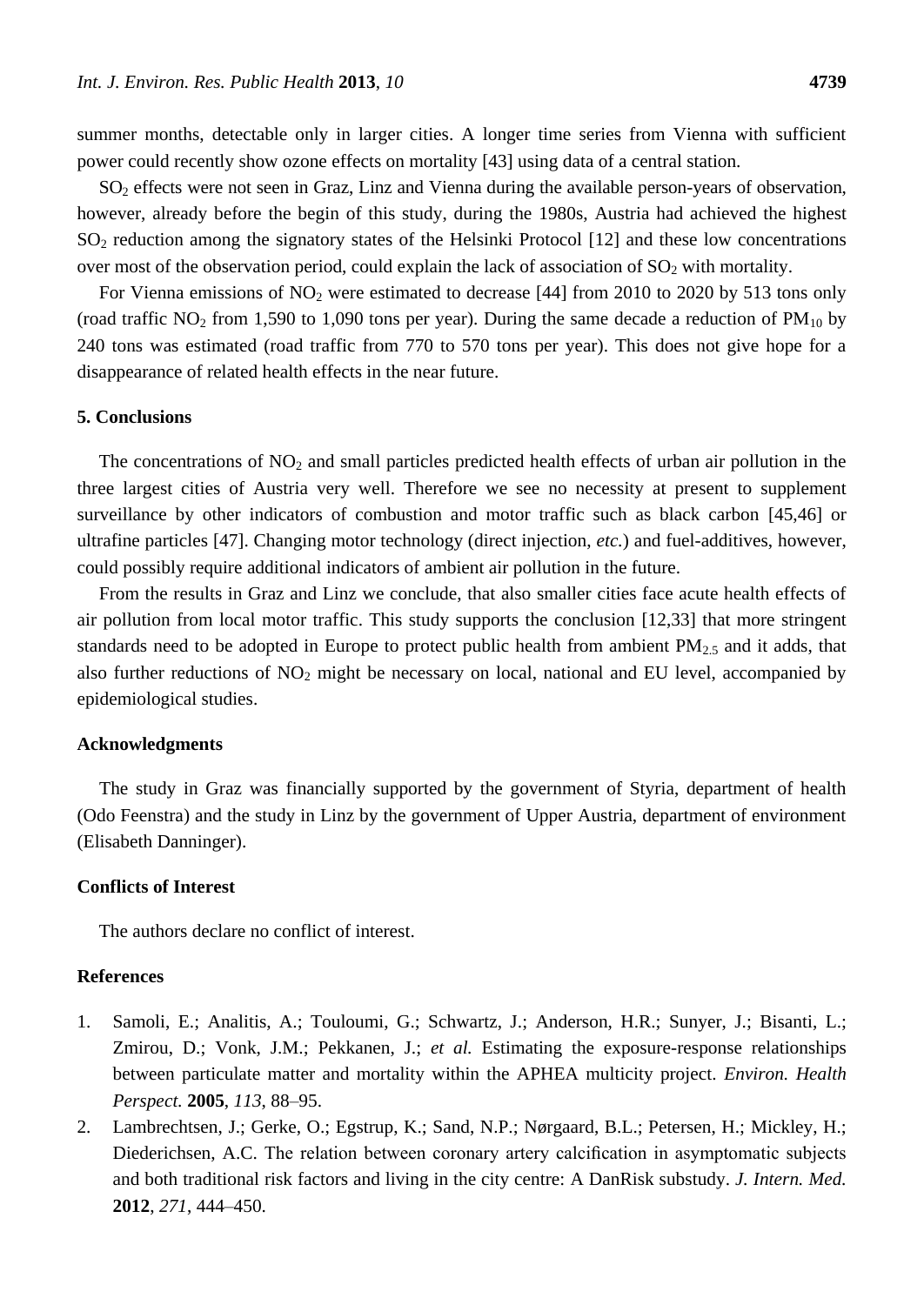summer months, detectable only in larger cities. A longer time series from Vienna with sufficient power could recently show ozone effects on mortality [43] using data of a central station.

SO<sup>2</sup> effects were not seen in Graz, Linz and Vienna during the available person-years of observation, however, already before the begin of this study, during the 1980s, Austria had achieved the highest SO<sub>2</sub> reduction among the signatory states of the Helsinki Protocol [12] and these low concentrations over most of the observation period, could explain the lack of association of  $SO<sub>2</sub>$  with mortality.

For Vienna emissions of  $NO<sub>2</sub>$  were estimated to decrease [44] from 2010 to 2020 by 513 tons only (road traffic  $NO_2$  from 1,590 to 1,090 tons per year). During the same decade a reduction of  $PM_{10}$  by 240 tons was estimated (road traffic from 770 to 570 tons per year). This does not give hope for a disappearance of related health effects in the near future.

### **5. Conclusions**

The concentrations of  $NO<sub>2</sub>$  and small particles predicted health effects of urban air pollution in the three largest cities of Austria very well. Therefore we see no necessity at present to supplement surveillance by other indicators of combustion and motor traffic such as black carbon [45,46] or ultrafine particles [47]. Changing motor technology (direct injection, *etc.*) and fuel-additives, however, could possibly require additional indicators of ambient air pollution in the future.

From the results in Graz and Linz we conclude, that also smaller cities face acute health effects of air pollution from local motor traffic. This study supports the conclusion [12,33] that more stringent standards need to be adopted in Europe to protect public health from ambient  $PM_{2.5}$  and it adds, that also further reductions of  $NO<sub>2</sub>$  might be necessary on local, national and EU level, accompanied by epidemiological studies.

## **Acknowledgments**

The study in Graz was financially supported by the government of Styria, department of health (Odo Feenstra) and the study in Linz by the government of Upper Austria, department of environment (Elisabeth Danninger).

#### **Conflicts of Interest**

The authors declare no conflict of interest.

## **References**

- 1. Samoli, E.; Analitis, A.; Touloumi, G.; Schwartz, J.; Anderson, H.R.; Sunyer, J.; Bisanti, L.; Zmirou, D.; Vonk, J.M.; Pekkanen, J.; *et al.* Estimating the exposure-response relationships between particulate matter and mortality within the APHEA multicity project. *Environ. Health Perspect.* **2005**, *113*, 88–95.
- 2. Lambrechtsen, J.; Gerke, O.; Egstrup, K.; Sand, N.P.; Nørgaard, B.L.; Petersen, H.; Mickley, H.; Diederichsen, A.C. The relation between coronary artery calcification in asymptomatic subjects and both traditional risk factors and living in the city centre: A DanRisk substudy. *J. Intern. Med.* **2012**, *271*, 444–450.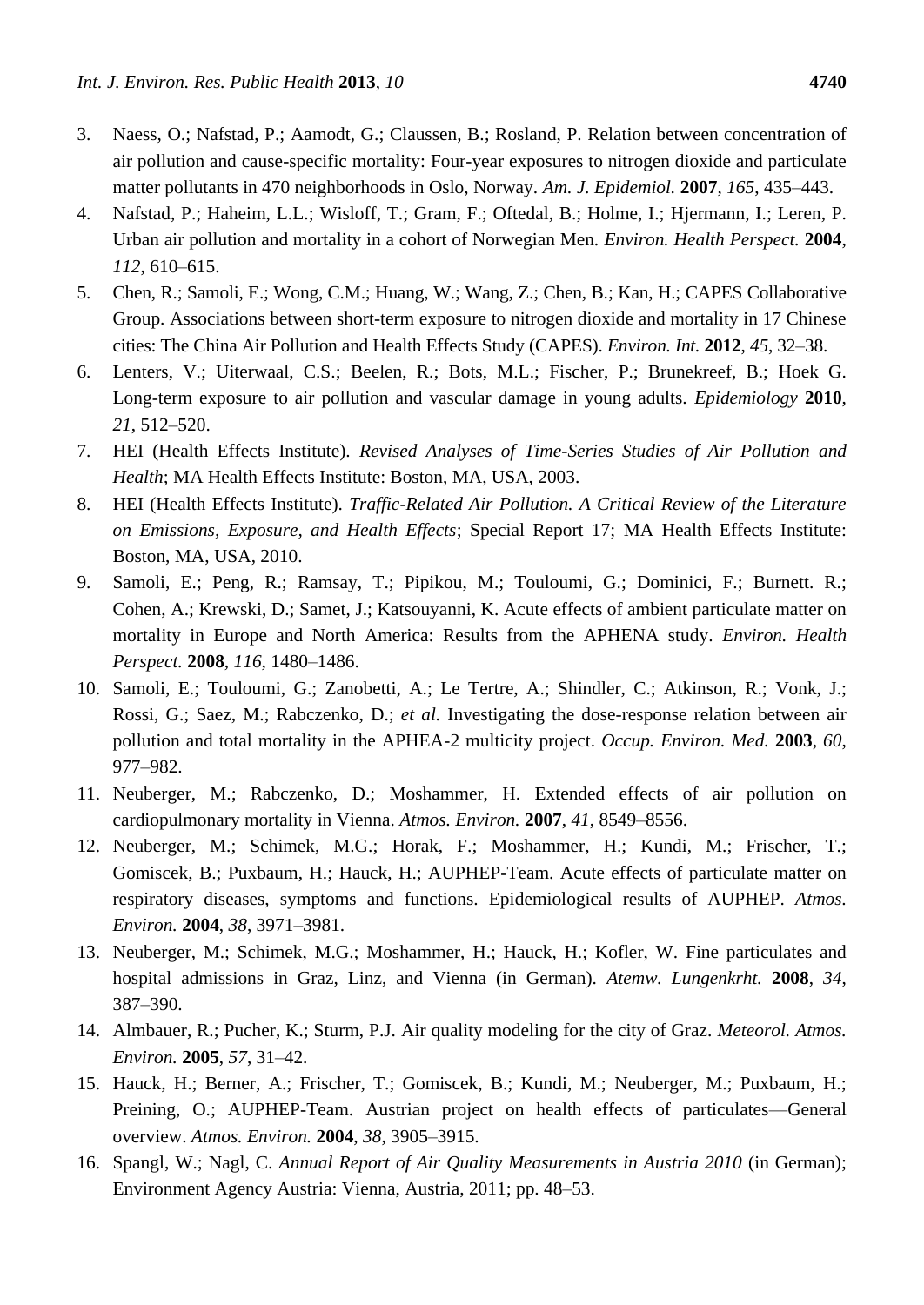- 3. Naess, O.; Nafstad, P.; Aamodt, G.; Claussen, B.; Rosland, P. Relation between concentration of air pollution and cause-specific mortality: Four-year exposures to nitrogen dioxide and particulate matter pollutants in 470 neighborhoods in Oslo, Norway. *Am. J. Epidemiol.* **2007**, *165*, 435–443.
- 4. Nafstad, P.; Haheim, L.L.; Wisloff, T.; Gram, F.; Oftedal, B.; Holme, I.; Hjermann, I.; Leren, P. Urban air pollution and mortality in a cohort of Norwegian Men. *Environ. Health Perspect.* **2004**, *112*, 610–615.
- 5. Chen, R.; Samoli, E.; Wong, C.M.; Huang, W.; Wang, Z.; Chen, B.; Kan, H.; CAPES Collaborative Group. Associations between short-term exposure to nitrogen dioxide and mortality in 17 Chinese cities: The China Air Pollution and Health Effects Study (CAPES). *Environ. Int.* **2012**, *45*, 32–38.
- 6. Lenters, V.; Uiterwaal, C.S.; Beelen, R.; Bots, M.L.; Fischer, P.; Brunekreef, B.; Hoek G. Long-term exposure to air pollution and vascular damage in young adults. *Epidemiology* **2010**, *21*, 512–520.
- 7. HEI (Health Effects Institute). *Revised Analyses of Time-Series Studies of Air Pollution and Health*; MA Health Effects Institute: Boston, MA, USA, 2003.
- 8. HEI (Health Effects Institute). *Traffic-Related Air Pollution. A Critical Review of the Literature on Emissions, Exposure, and Health Effects*; Special Report 17; MA Health Effects Institute: Boston, MA, USA, 2010.
- 9. Samoli, E.; Peng, R.; Ramsay, T.; Pipikou, M.; Touloumi, G.; Dominici, F.; Burnett. R.; Cohen, A.; Krewski, D.; Samet, J.; Katsouyanni, K. Acute effects of ambient particulate matter on mortality in Europe and North America: Results from the APHENA study. *Environ. Health Perspect.* **2008**, *116*, 1480–1486.
- 10. Samoli, E.; Touloumi, G.; Zanobetti, A.; Le Tertre, A.; Shindler, C.; Atkinson, R.; Vonk, J.; Rossi, G.; Saez, M.; Rabczenko, D.; *et al.* Investigating the dose-response relation between air pollution and total mortality in the APHEA-2 multicity project. *Occup. Environ. Med.* **2003**, *60*, 977–982.
- 11. Neuberger, M.; Rabczenko, D.; Moshammer, H. Extended effects of air pollution on cardiopulmonary mortality in Vienna. *Atmos. Environ.* **2007**, *41*, 8549–8556.
- 12. Neuberger, M.; Schimek, M.G.; Horak, F.; Moshammer, H.; Kundi, M.; Frischer, T.; Gomiscek, B.; Puxbaum, H.; Hauck, H.; AUPHEP-Team. Acute effects of particulate matter on respiratory diseases, symptoms and functions. Epidemiological results of AUPHEP. *Atmos. Environ.* **2004**, *38*, 3971–3981.
- 13. Neuberger, M.; Schimek, M.G.; Moshammer, H.; Hauck, H.; Kofler, W. Fine particulates and hospital admissions in Graz, Linz, and Vienna (in German). *Atemw. Lungenkrht.* **2008**, *34*, 387–390.
- 14. Almbauer, R.; Pucher, K.; Sturm, P.J. Air quality modeling for the city of Graz. *Meteorol. Atmos. Environ.* **2005**, *57*, 31–42.
- 15. Hauck, H.; Berner, A.; Frischer, T.; Gomiscek, B.; Kundi, M.; Neuberger, M.; Puxbaum, H.; Preining, O.; AUPHEP-Team. Austrian project on health effects of particulates—General overview. *Atmos. Environ.* **2004**, *38*, 3905–3915.
- 16. Spangl, W.; Nagl, C. *Annual Report of Air Quality Measurements in Austria 2010* (in German); Environment Agency Austria: Vienna, Austria, 2011; pp. 48–53.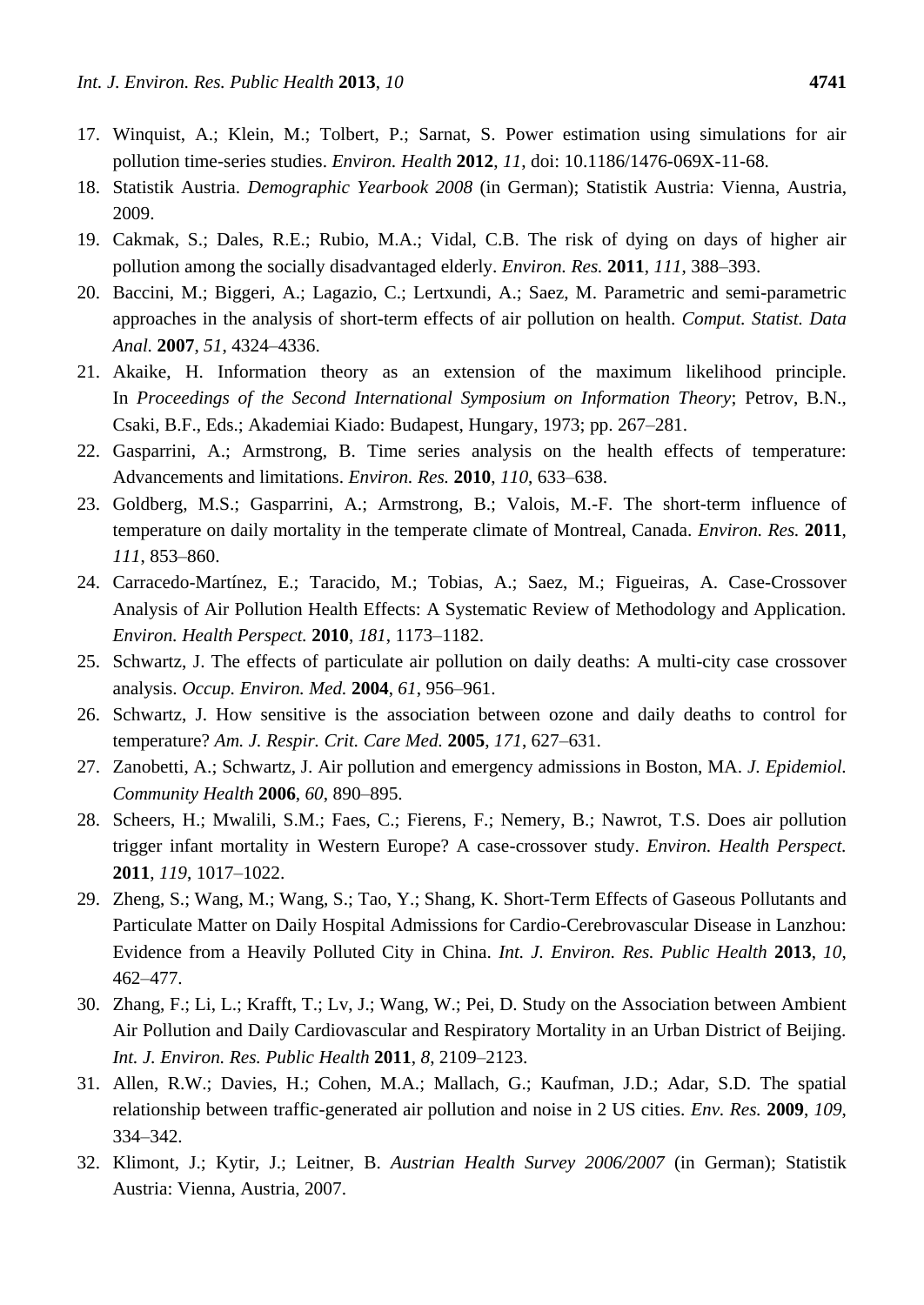- 17. Winquist, A.; Klein, M.; Tolbert, P.; Sarnat, S. Power estimation using simulations for air pollution time-series studies. *Environ. Health* **2012**, *11*, doi: 10.1186/1476-069X-11-68.
- 18. Statistik Austria. *Demographic Yearbook 2008* (in German); Statistik Austria: Vienna, Austria, 2009.
- 19. Cakmak, S.; Dales, R.E.; Rubio, M.A.; Vidal, C.B. The risk of dying on days of higher air pollution among the socially disadvantaged elderly. *Environ. Res.* **2011**, *111*, 388–393.
- 20. Baccini, M.; Biggeri, A.; Lagazio, C.; Lertxundi, A.; Saez, M. Parametric and semi-parametric approaches in the analysis of short-term effects of air pollution on health. *Comput. Statist. Data Anal.* **2007**, *51*, 4324–4336.
- 21. Akaike, H. Information theory as an extension of the maximum likelihood principle. In *Proceedings of the Second International Symposium on Information Theory*; Petrov, B.N., Csaki, B.F., Eds.; Akademiai Kiado: Budapest, Hungary, 1973; pp. 267–281.
- 22. Gasparrini, A.; Armstrong, B. Time series analysis on the health effects of temperature: Advancements and limitations. *Environ. Res.* **2010**, *110*, 633–638.
- 23. Goldberg, M.S.; Gasparrini, A.; Armstrong, B.; Valois, M.-F. The short-term influence of temperature on daily mortality in the temperate climate of Montreal, Canada. *Environ. Res.* **2011**, *111*, 853–860.
- 24. Carracedo-Mart nez, E.; Taracido, M.; Tobias, A.; Saez, M.; Figueiras, A. Case-Crossover Analysis of Air Pollution Health Effects: A Systematic Review of Methodology and Application. *Environ. Health Perspect.* **2010**, *181*, 1173–1182.
- 25. Schwartz, J. The effects of particulate air pollution on daily deaths: A multi-city case crossover analysis. *Occup. Environ. Med.* **2004**, *61*, 956–961.
- 26. Schwartz, J. How sensitive is the association between ozone and daily deaths to control for temperature? *Am. J. Respir. Crit. Care Med.* **2005**, *171*, 627–631.
- 27. Zanobetti, A.; Schwartz, J. Air pollution and emergency admissions in Boston, MA. *J. Epidemiol. Community Health* **2006**, *60*, 890–895.
- 28. Scheers, H.; Mwalili, S.M.; Faes, C.; Fierens, F.; Nemery, B.; Nawrot, T.S. Does air pollution trigger infant mortality in Western Europe? A case-crossover study. *Environ. Health Perspect.* **2011**, *119*, 1017–1022.
- 29. Zheng, S.; Wang, M.; Wang, S.; Tao, Y.; Shang, K. Short-Term Effects of Gaseous Pollutants and Particulate Matter on Daily Hospital Admissions for Cardio-Cerebrovascular Disease in Lanzhou: Evidence from a Heavily Polluted City in China. *Int. J. Environ. Res. Public Health* **2013**, *10*, 462–477.
- 30. Zhang, F.; Li, L.; Krafft, T.; Lv, J.; Wang, W.; Pei, D. Study on the Association between Ambient Air Pollution and Daily Cardiovascular and Respiratory Mortality in an Urban District of Beijing. *Int. J. Environ. Res. Public Health* **2011**, *8*, 2109–2123.
- 31. Allen, R.W.; Davies, H.; Cohen, M.A.; Mallach, G.; Kaufman, J.D.; Adar, S.D. The spatial relationship between traffic-generated air pollution and noise in 2 US cities. *Env. Res.* **2009**, *109*, 334–342.
- 32. Klimont, J.; Kytir, J.; Leitner, B. *Austrian Health Survey 2006/2007* (in German); Statistik Austria: Vienna, Austria, 2007.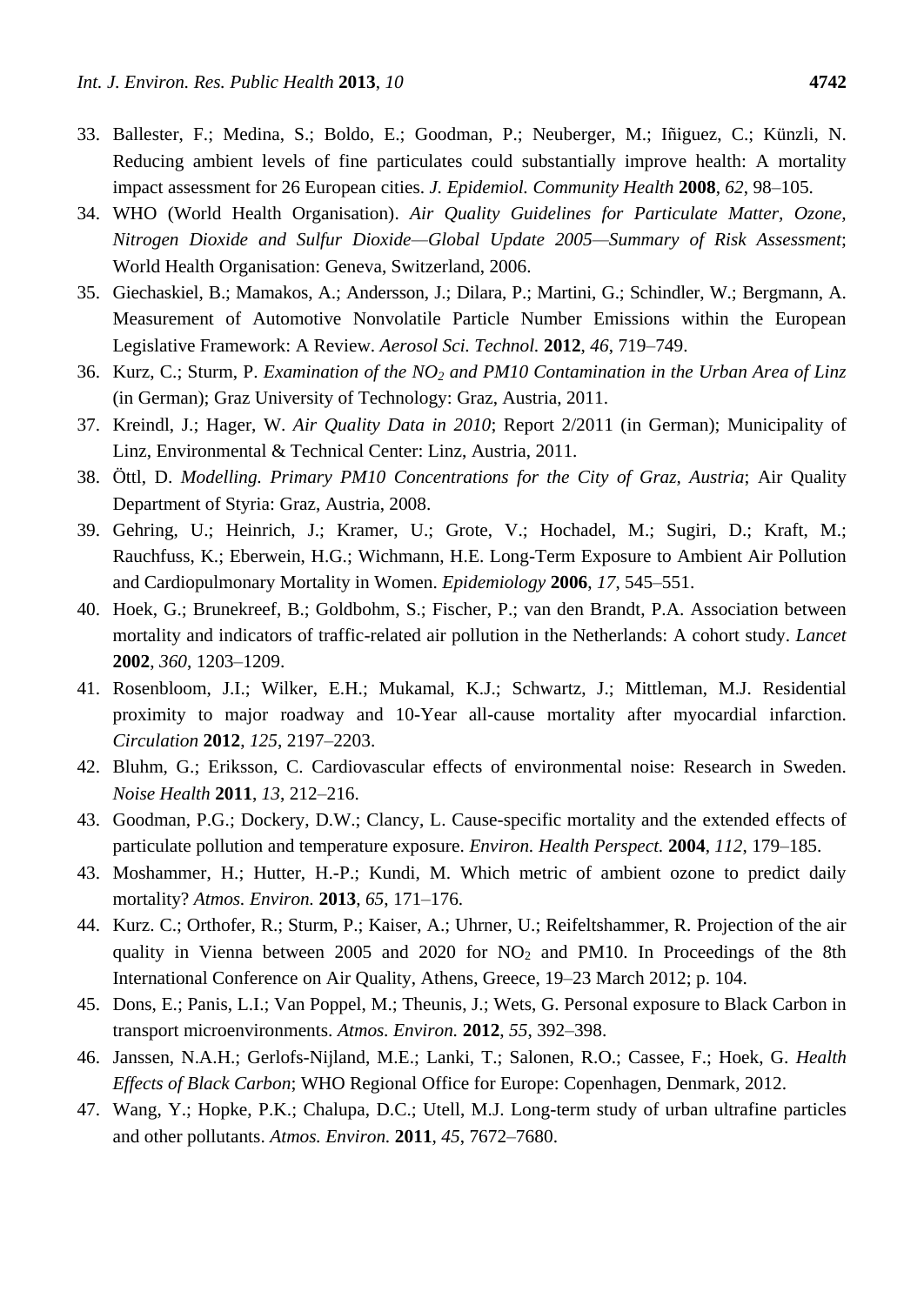- 33. Ballester, F.; Medina, S.; Boldo, E.; Goodman, P.; Neuberger, M.; Iñiguez, C.; Künzli, N. Reducing ambient levels of fine particulates could substantially improve health: A mortality impact assessment for 26 European cities. *J. Epidemiol. Community Health* **2008**, *62*, 98–105.
- 34. WHO (World Health Organisation). *Air Quality Guidelines for Particulate Matter, Ozone, Nitrogen Dioxide and Sulfur Dioxide—Global Update 2005—Summary of Risk Assessment*; World Health Organisation: Geneva, Switzerland, 2006.
- 35. Giechaskiel, B.; Mamakos, A.; Andersson, J.; Dilara, P.; Martini, G.; Schindler, W.; Bergmann, A. Measurement of Automotive Nonvolatile Particle Number Emissions within the European Legislative Framework: A Review. *Aerosol Sci. Technol.* **2012**, *46*, 719–749.
- 36. Kurz, C.; Sturm, P. *Examination of the NO<sup>2</sup> and PM10 Contamination in the Urban Area of Linz* (in German); Graz University of Technology: Graz, Austria, 2011.
- 37. Kreindl, J.; Hager, W. *Air Quality Data in 2010*; Report 2/2011 (in German); Municipality of Linz, Environmental & Technical Center: Linz, Austria, 2011.
- 38. Öttl, D. *Modelling. Primary PM10 Concentrations for the City of Graz, Austria*; Air Quality Department of Styria: Graz, Austria, 2008.
- 39. Gehring, U.; Heinrich, J.; Kramer, U.; Grote, V.; Hochadel, M.; Sugiri, D.; Kraft, M.; Rauchfuss, K.; Eberwein, H.G.; Wichmann, H.E. Long-Term Exposure to Ambient Air Pollution and Cardiopulmonary Mortality in Women. *Epidemiology* **2006**, *17*, 545–551.
- 40. Hoek, G.; Brunekreef, B.; Goldbohm, S.; Fischer, P.; van den Brandt, P.A. Association between mortality and indicators of traffic-related air pollution in the Netherlands: A cohort study. *Lancet* **2002**, *360*, 1203–1209.
- 41. Rosenbloom, J.I.; Wilker, E.H.; Mukamal, K.J.; Schwartz, J.; Mittleman, M.J. Residential proximity to major roadway and 10-Year all-cause mortality after myocardial infarction. *Circulation* **2012**, *125*, 2197–2203.
- 42. Bluhm, G.; Eriksson, C. Cardiovascular effects of environmental noise: Research in Sweden. *Noise Health* **2011**, *13*, 212–216.
- 43. Goodman, P.G.; Dockery, D.W.; Clancy, L. Cause-specific mortality and the extended effects of particulate pollution and temperature exposure. *Environ. Health Perspect.* **2004**, *112*, 179–185.
- 43. Moshammer, H.; Hutter, H.-P.; Kundi, M. Which metric of ambient ozone to predict daily mortality? *Atmos. Environ.* **2013**, *65*, 171–176.
- 44. Kurz. C.; Orthofer, R.; Sturm, P.; Kaiser, A.; Uhrner, U.; Reifeltshammer, R. Projection of the air quality in Vienna between 2005 and 2020 for  $NO<sub>2</sub>$  and PM10. In Proceedings of the 8th International Conference on Air Quality, Athens, Greece, 19–23 March 2012; p. 104.
- 45. Dons, E.; Panis, L.I.; Van Poppel, M.; Theunis, J.; Wets, G. Personal exposure to Black Carbon in transport microenvironments. *Atmos. Environ.* **2012**, *55*, 392–398.
- 46. Janssen, N.A.H.; Gerlofs-Nijland, M.E.; Lanki, T.; Salonen, R.O.; Cassee, F.; Hoek, G. *Health Effects of Black Carbon*; WHO Regional Office for Europe: Copenhagen, Denmark, 2012.
- 47. Wang, Y.; Hopke, P.K.; Chalupa, D.C.; Utell, M.J. Long-term study of urban ultrafine particles and other pollutants. *Atmos. Environ.* **2011**, *45*, 7672–7680.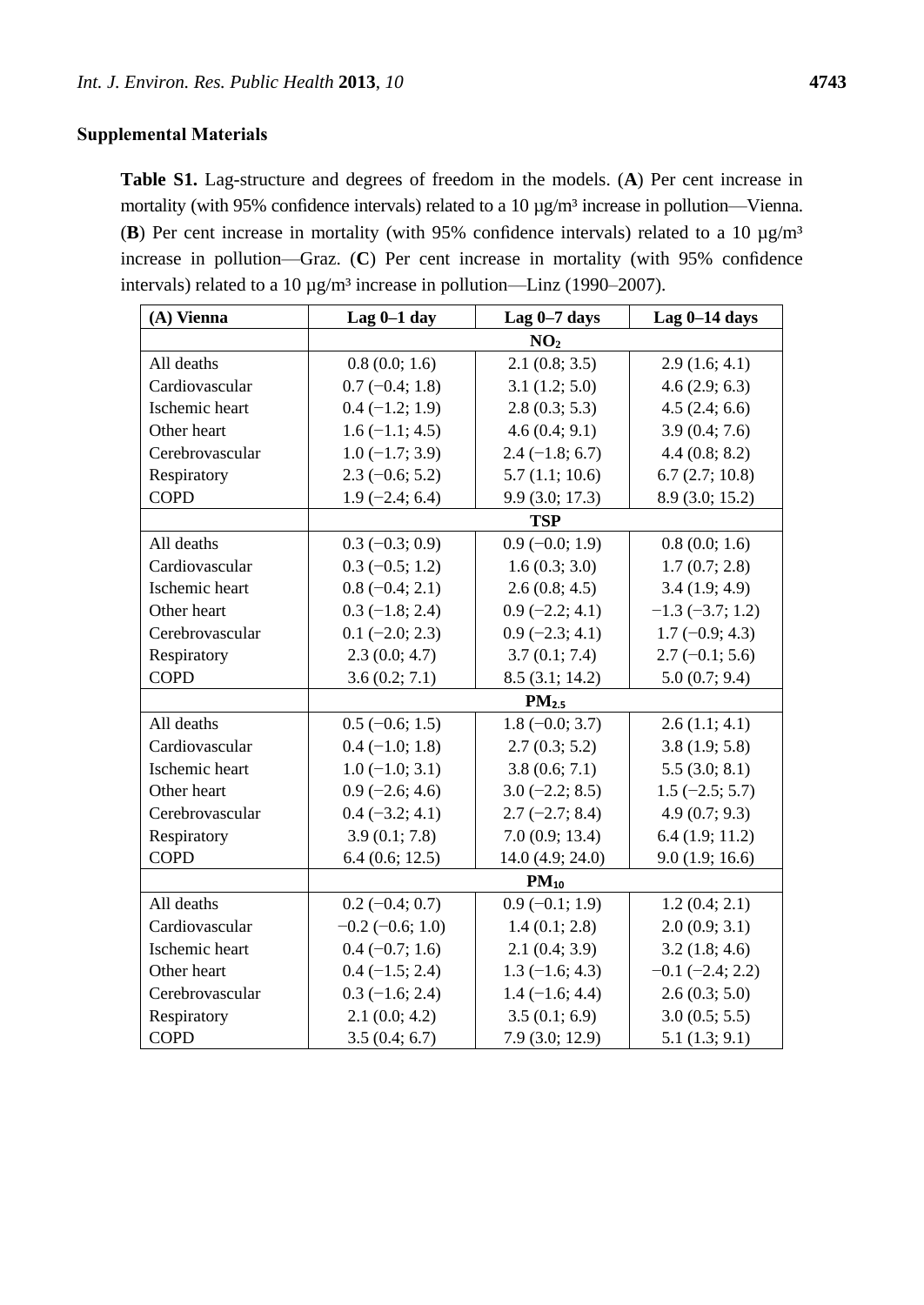**Table S1.** Lag-structure and degrees of freedom in the models. (**A**) Per cent increase in mortality (with 95% confidence intervals) related to a 10  $\mu$ g/m <sup>3</sup>increase in pollution—Vienna. (**B**) Per cent increase in mortality (with 95% confidence intervals) related to a 10  $\mu$ g/m<sup>3</sup> increase in pollution—Graz. (**C**) Per cent increase in mortality (with 95% confidence intervals) related to a 10  $\mu$ g/m <sup>3</sup>increase in pollution—Linz (1990–2007).

| (A) Vienna      | Lag $0-1$ day        | Lag $0-7$ days    | Lag $0-14$ days      |
|-----------------|----------------------|-------------------|----------------------|
|                 | NO <sub>2</sub>      |                   |                      |
| All deaths      | 0.8(0.0; 1.6)        | 2.1(0.8; 3.5)     | 2.9(1.6; 4.1)        |
| Cardiovascular  | $0.7(-0.4; 1.8)$     | 3.1(1.2; 5.0)     | 4.6(2.9; 6.3)        |
| Ischemic heart  | $0.4 (-1.2; 1.9)$    | 2.8(0.3; 5.3)     | 4.5(2.4; 6.6)        |
| Other heart     | $1.6(-1.1; 4.5)$     | 4.6(0.4; 9.1)     | 3.9(0.4; 7.6)        |
| Cerebrovascular | $1.0 (-1.7; 3.9)$    | $2.4 (-1.8; 6.7)$ | 4.4(0.8; 8.2)        |
| Respiratory     | $2.3(-0.6; 5.2)$     | 5.7(1.1; 10.6)    | 6.7(2.7; 10.8)       |
| <b>COPD</b>     | $1.9(-2.4; 6.4)$     | 9.9(3.0; 17.3)    | 8.9 (3.0; 15.2)      |
|                 | <b>TSP</b>           |                   |                      |
| All deaths      | $0.3(-0.3; 0.9)$     | $0.9(-0.0; 1.9)$  | 0.8(0.0; 1.6)        |
| Cardiovascular  | $0.3 (-0.5; 1.2)$    | 1.6(0.3; 3.0)     | 1.7(0.7; 2.8)        |
| Ischemic heart  | $0.8 (-0.4; 2.1)$    | 2.6(0.8; 4.5)     | 3.4(1.9; 4.9)        |
| Other heart     | $0.3$ (-1.8; 2.4)    | $0.9$ (-2.2; 4.1) | $-1.3$ $(-3.7; 1.2)$ |
| Cerebrovascular | $0.1$ (-2.0; 2.3)    | $0.9$ (-2.3; 4.1) | $1.7(-0.9; 4.3)$     |
| Respiratory     | 2.3(0.0; 4.7)        | 3.7(0.1; 7.4)     | $2.7(-0.1; 5.6)$     |
| <b>COPD</b>     | 3.6(0.2; 7.1)        | 8.5(3.1; 14.2)    | 5.0(0.7; 9.4)        |
|                 |                      | PM <sub>2.5</sub> |                      |
| All deaths      | $0.5$ (-0.6; 1.5)    | $1.8 (-0.0; 3.7)$ | 2.6(1.1; 4.1)        |
| Cardiovascular  | $0.4 (-1.0; 1.8)$    | 2.7(0.3; 5.2)     | 3.8(1.9; 5.8)        |
| Ischemic heart  | $1.0 (-1.0; 3.1)$    | 3.8(0.6; 7.1)     | 5.5(3.0; 8.1)        |
| Other heart     | $0.9$ (-2.6; 4.6)    | $3.0 (-2.2; 8.5)$ | $1.5(-2.5; 5.7)$     |
| Cerebrovascular | $0.4 (-3.2; 4.1)$    | $2.7(-2.7; 8.4)$  | 4.9(0.7; 9.3)        |
| Respiratory     | 3.9(0.1; 7.8)        | 7.0(0.9; 13.4)    | 6.4(1.9; 11.2)       |
| <b>COPD</b>     | 6.4(0.6; 12.5)       | 14.0 (4.9; 24.0)  | 9.0(1.9; 16.6)       |
|                 |                      | $PM_{10}$         |                      |
| All deaths      | $0.2 (-0.4; 0.7)$    | $0.9(-0.1; 1.9)$  | 1.2(0.4; 2.1)        |
| Cardiovascular  | $-0.2$ $(-0.6; 1.0)$ | 1.4(0.1; 2.8)     | 2.0(0.9; 3.1)        |
| Ischemic heart  | $0.4 (-0.7; 1.6)$    | 2.1(0.4; 3.9)     | 3.2(1.8; 4.6)        |
| Other heart     | $0.4 (-1.5; 2.4)$    | $1.3(-1.6; 4.3)$  | $-0.1$ $(-2.4; 2.2)$ |
| Cerebrovascular | $0.3$ (-1.6; 2.4)    | $1.4 (-1.6; 4.4)$ | 2.6(0.3; 5.0)        |
| Respiratory     | 2.1(0.0; 4.2)        | 3.5(0.1; 6.9)     | 3.0(0.5; 5.5)        |
| <b>COPD</b>     | 3.5(0.4; 6.7)        | 7.9(3.0; 12.9)    | 5.1(1.3; 9.1)        |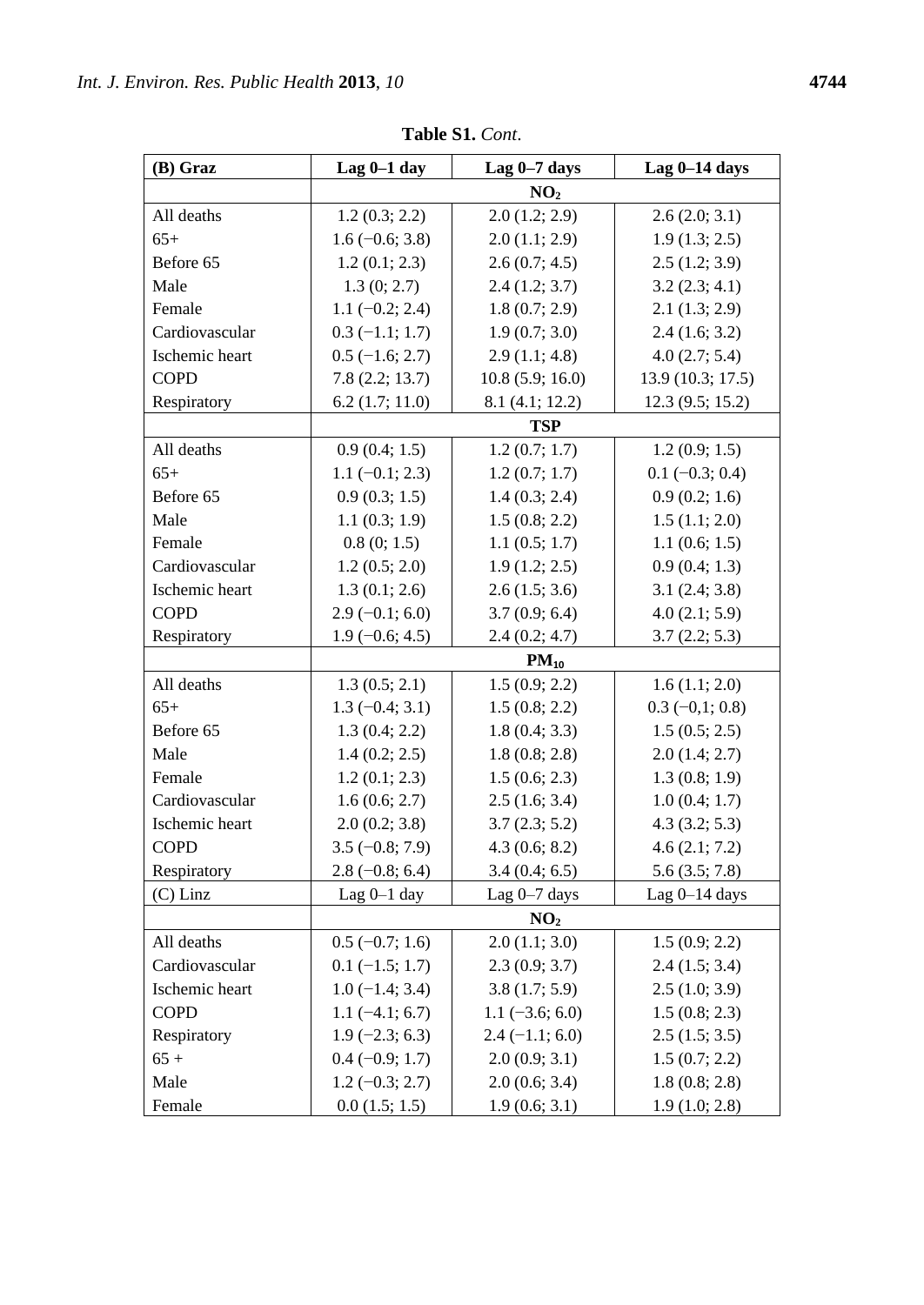| (B) Graz       | Lag $0-1$ day     | Lag $0-7$ days    | Lag $0-14$ days   |
|----------------|-------------------|-------------------|-------------------|
|                |                   | NO <sub>2</sub>   |                   |
| All deaths     | 1.2(0.3; 2.2)     | 2.0(1.2; 2.9)     | 2.6(2.0; 3.1)     |
| $65+$          | $1.6(-0.6; 3.8)$  | 2.0(1.1; 2.9)     | 1.9(1.3; 2.5)     |
| Before 65      | 1.2(0.1; 2.3)     | 2.6(0.7; 4.5)     | 2.5(1.2; 3.9)     |
| Male           | 1.3(0; 2.7)       | 2.4(1.2; 3.7)     | 3.2(2.3; 4.1)     |
| Female         | $1.1 (-0.2; 2.4)$ | 1.8(0.7; 2.9)     | 2.1(1.3; 2.9)     |
| Cardiovascular | $0.3(-1.1; 1.7)$  | 1.9(0.7; 3.0)     | 2.4(1.6; 3.2)     |
| Ischemic heart | $0.5$ (-1.6; 2.7) | 2.9(1.1; 4.8)     | 4.0(2.7; 5.4)     |
| <b>COPD</b>    | 7.8(2.2; 13.7)    | 10.8(5.9; 16.0)   | 13.9 (10.3; 17.5) |
| Respiratory    | $6.2$ (1.7; 11.0) | 8.1 (4.1; 12.2)   | 12.3(9.5; 15.2)   |
|                | <b>TSP</b>        |                   |                   |
| All deaths     | 0.9(0.4; 1.5)     | 1.2(0.7; 1.7)     | 1.2(0.9; 1.5)     |
| $65+$          | $1.1 (-0.1; 2.3)$ | 1.2(0.7; 1.7)     | $0.1 (-0.3; 0.4)$ |
| Before 65      | 0.9(0.3; 1.5)     | 1.4(0.3; 2.4)     | 0.9(0.2; 1.6)     |
| Male           | 1.1(0.3; 1.9)     | 1.5(0.8; 2.2)     | 1.5(1.1; 2.0)     |
| Female         | 0.8(0; 1.5)       | 1.1(0.5; 1.7)     | 1.1(0.6; 1.5)     |
| Cardiovascular | 1.2(0.5; 2.0)     | 1.9(1.2; 2.5)     | 0.9(0.4; 1.3)     |
| Ischemic heart | 1.3(0.1; 2.6)     | 2.6(1.5; 3.6)     | 3.1(2.4; 3.8)     |
| <b>COPD</b>    | $2.9(-0.1; 6.0)$  | 3.7(0.9; 6.4)     | 4.0(2.1; 5.9)     |
| Respiratory    | $1.9(-0.6; 4.5)$  | 2.4(0.2; 4.7)     | 3.7(2.2; 5.3)     |
|                |                   | $PM_{10}$         |                   |
| All deaths     | 1.3(0.5; 2.1)     | 1.5(0.9; 2.2)     | 1.6(1.1; 2.0)     |
| $65+$          | $1.3(-0.4; 3.1)$  | 1.5(0.8; 2.2)     | $0.3(-0,1;0.8)$   |
| Before 65      | 1.3(0.4; 2.2)     | 1.8(0.4; 3.3)     | 1.5(0.5; 2.5)     |
| Male           | 1.4(0.2; 2.5)     | 1.8(0.8; 2.8)     | 2.0(1.4; 2.7)     |
| Female         | 1.2(0.1; 2.3)     | 1.5(0.6; 2.3)     | 1.3(0.8; 1.9)     |
| Cardiovascular | 1.6(0.6; 2.7)     | 2.5(1.6; 3.4)     | 1.0(0.4; 1.7)     |
| Ischemic heart | 2.0(0.2; 3.8)     | 3.7(2.3; 5.2)     | 4.3(3.2; 5.3)     |
| <b>COPD</b>    | $3.5(-0.8; 7.9)$  | 4.3(0.6; 8.2)     | 4.6(2.1; 7.2)     |
| Respiratory    | $2.8(-0.8; 6.4)$  | 3.4(0.4; 6.5)     | 5.6(3.5; 7.8)     |
| $(C)$ Linz     | Lag $0-1$ day     | Lag $0-7$ days    | Lag $0-14$ days   |
|                |                   | NO <sub>2</sub>   |                   |
| All deaths     | $0.5(-0.7; 1.6)$  | 2.0(1.1; 3.0)     | 1.5(0.9; 2.2)     |
| Cardiovascular | $0.1 (-1.5; 1.7)$ | 2.3(0.9; 3.7)     | 2.4(1.5; 3.4)     |
| Ischemic heart | $1.0(-1.4; 3.4)$  | 3.8(1.7; 5.9)     | 2.5(1.0; 3.9)     |
| <b>COPD</b>    | $1.1(-4.1; 6.7)$  | $1.1 (-3.6; 6.0)$ | 1.5(0.8; 2.3)     |
| Respiratory    | $1.9(-2.3; 6.3)$  | $2.4 (-1.1; 6.0)$ | 2.5(1.5; 3.5)     |
| $65 +$         | $0.4 (-0.9; 1.7)$ | 2.0(0.9; 3.1)     | 1.5(0.7; 2.2)     |
| Male           | $1.2 (-0.3; 2.7)$ | 2.0(0.6; 3.4)     | 1.8(0.8; 2.8)     |
| Female         | 0.0(1.5; 1.5)     | 1.9(0.6; 3.1)     | 1.9(1.0; 2.8)     |

**Table S1.** *Cont*.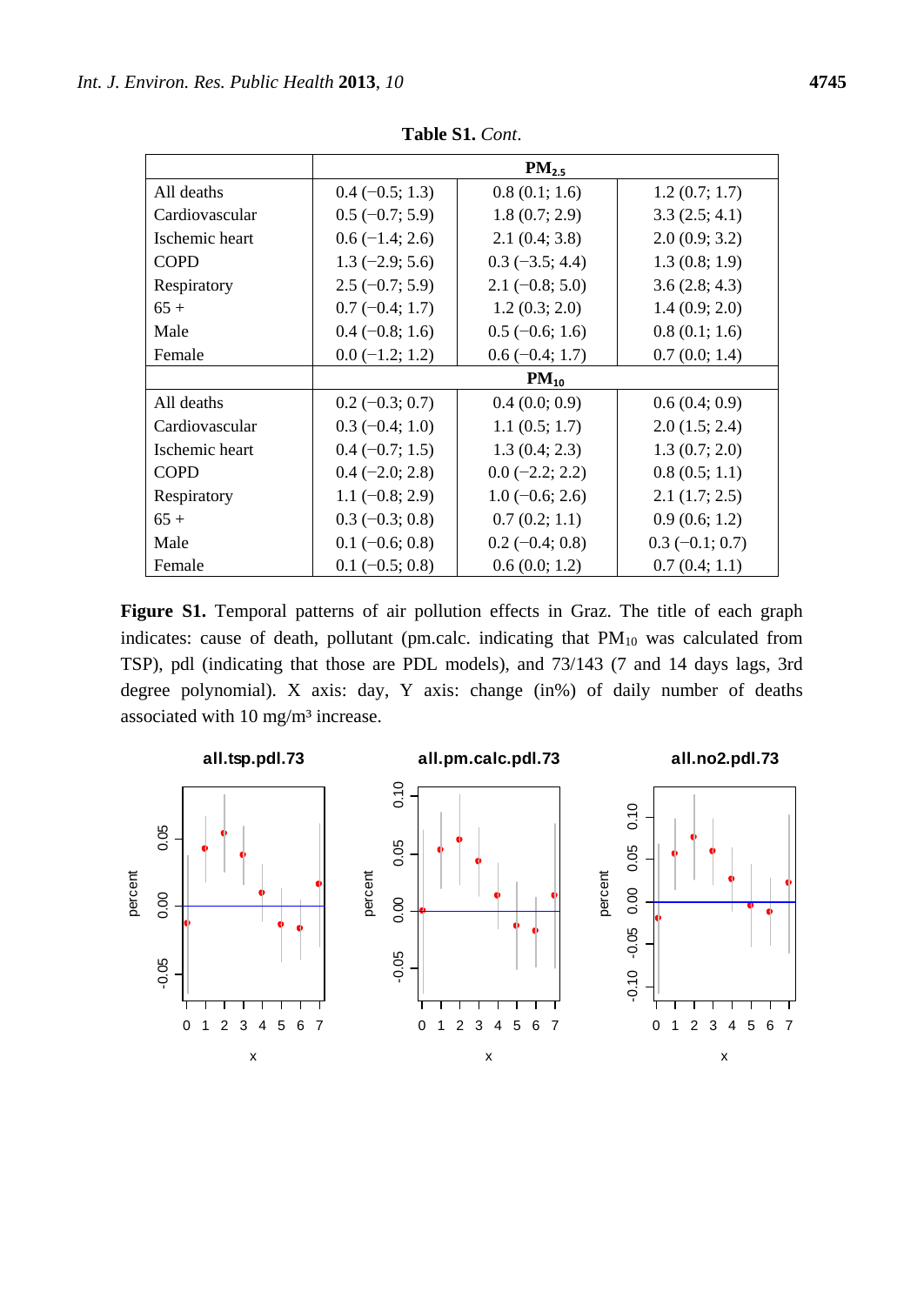|                |                   | PM <sub>2.5</sub> |                   |
|----------------|-------------------|-------------------|-------------------|
| All deaths     | $0.4 (-0.5; 1.3)$ | 0.8(0.1; 1.6)     | 1.2(0.7; 1.7)     |
| Cardiovascular | $0.5(-0.7; 5.9)$  | 1.8(0.7; 2.9)     | 3.3(2.5; 4.1)     |
| Ischemic heart | $0.6(-1.4; 2.6)$  | 2.1(0.4; 3.8)     | 2.0(0.9; 3.2)     |
| <b>COPD</b>    | $1.3(-2.9; 5.6)$  | $0.3$ (-3.5; 4.4) | 1.3(0.8; 1.9)     |
| Respiratory    | $2.5(-0.7; 5.9)$  | $2.1(-0.8; 5.0)$  | 3.6(2.8; 4.3)     |
| $65+$          | $0.7(-0.4; 1.7)$  | 1.2(0.3; 2.0)     | 1.4(0.9; 2.0)     |
| Male           | $0.4 (-0.8; 1.6)$ | $0.5$ (-0.6; 1.6) | 0.8(0.1; 1.6)     |
| Female         | $0.0 (-1.2; 1.2)$ | $0.6(-0.4; 1.7)$  | 0.7(0.0; 1.4)     |
|                |                   | $PM_{10}$         |                   |
| All deaths     | $0.2 (-0.3; 0.7)$ | 0.4(0.0; 0.9)     | 0.6(0.4; 0.9)     |
| Cardiovascular | $0.3(-0.4; 1.0)$  | 1.1(0.5; 1.7)     | 2.0(1.5; 2.4)     |
| Ischemic heart | $0.4 (-0.7; 1.5)$ | 1.3(0.4; 2.3)     | 1.3(0.7; 2.0)     |
| <b>COPD</b>    | $0.4 (-2.0; 2.8)$ | $0.0$ (-2.2; 2.2) | 0.8(0.5; 1.1)     |
| Respiratory    | $1.1(-0.8; 2.9)$  | $1.0(-0.6; 2.6)$  | 2.1(1.7; 2.5)     |
| $65+$          | $0.3(-0.3; 0.8)$  | 0.7(0.2; 1.1)     | 0.9(0.6; 1.2)     |
| Male           | $0.1 (-0.6; 0.8)$ | $0.2(-0.4; 0.8)$  | $0.3 (-0.1; 0.7)$ |
| Female         | $0.1 (-0.5; 0.8)$ | 0.6(0.0; 1.2)     | 0.7(0.4; 1.1)     |

**Table S1.** *Cont*.

**Figure S1.** Temporal patterns of air pollution effects in Graz. The title of each graph indicates: cause of death, pollutant (pm.calc. indicating that  $PM_{10}$  was calculated from TSP), pdl (indicating that those are PDL models), and 73/143 (7 and 14 days lags, 3rd degree polynomial). X axis: day, Y axis: change (in%) of daily number of deaths associated with 10 mg/m 3 increase.

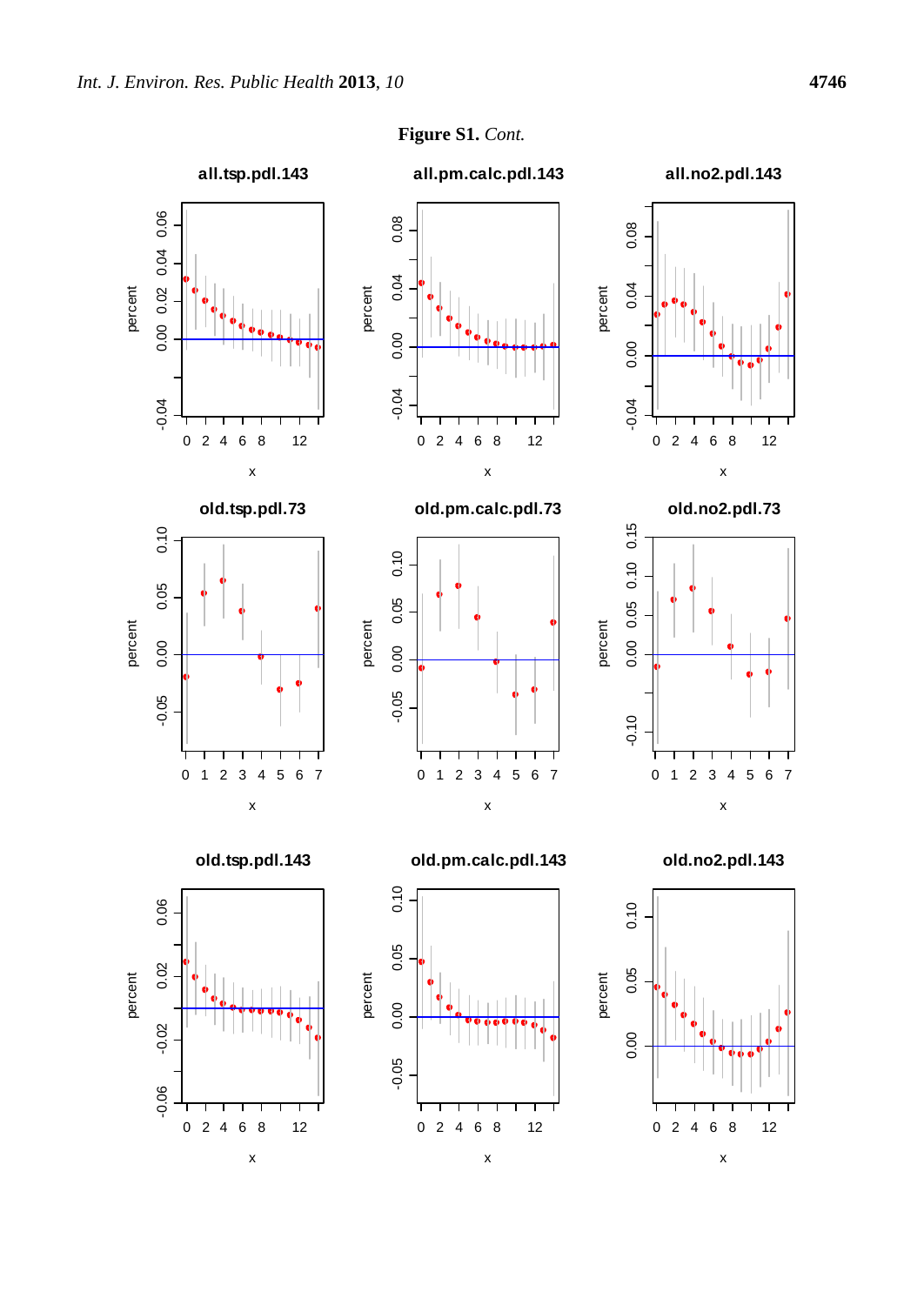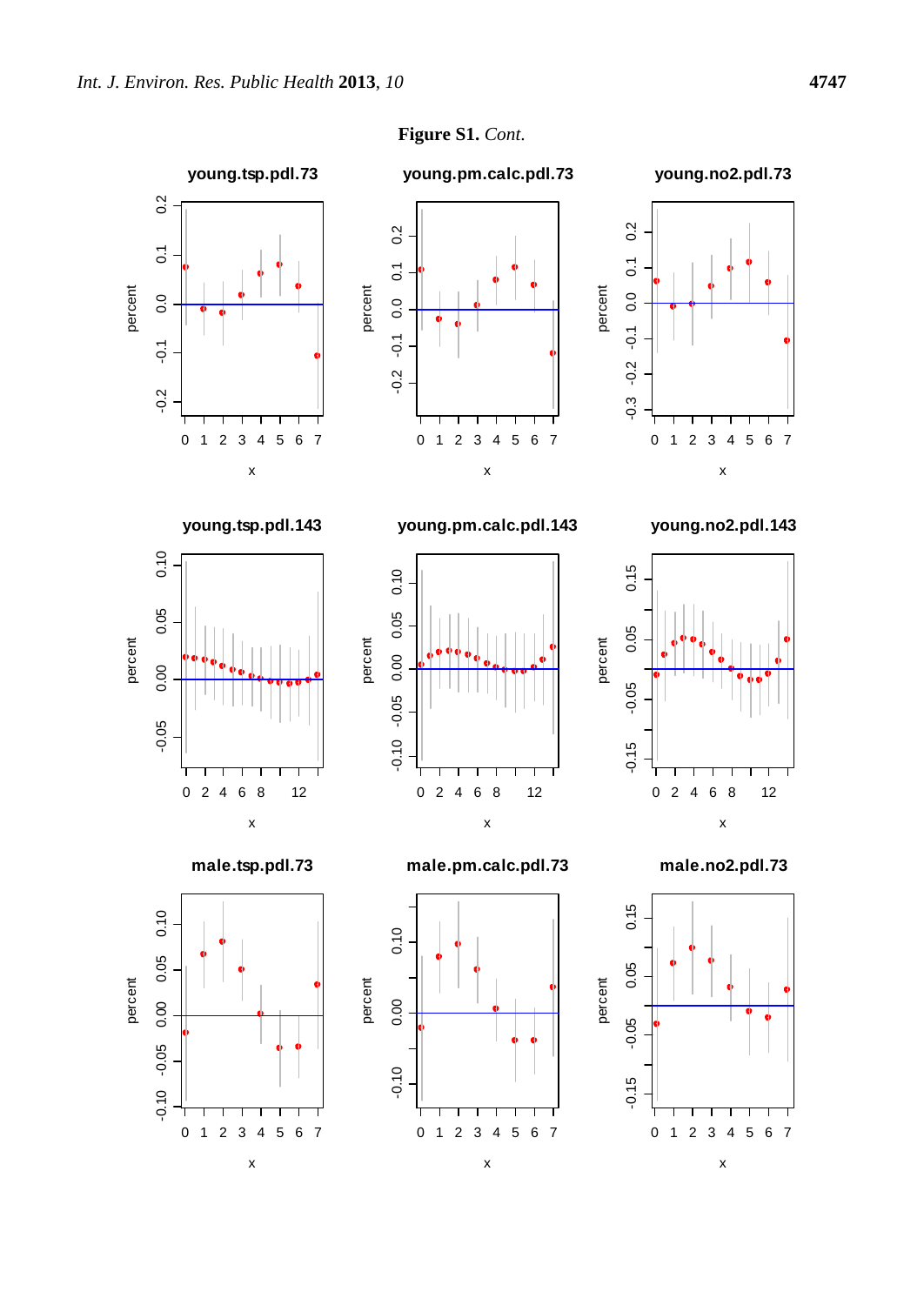

**Figure S1.** *Cont*.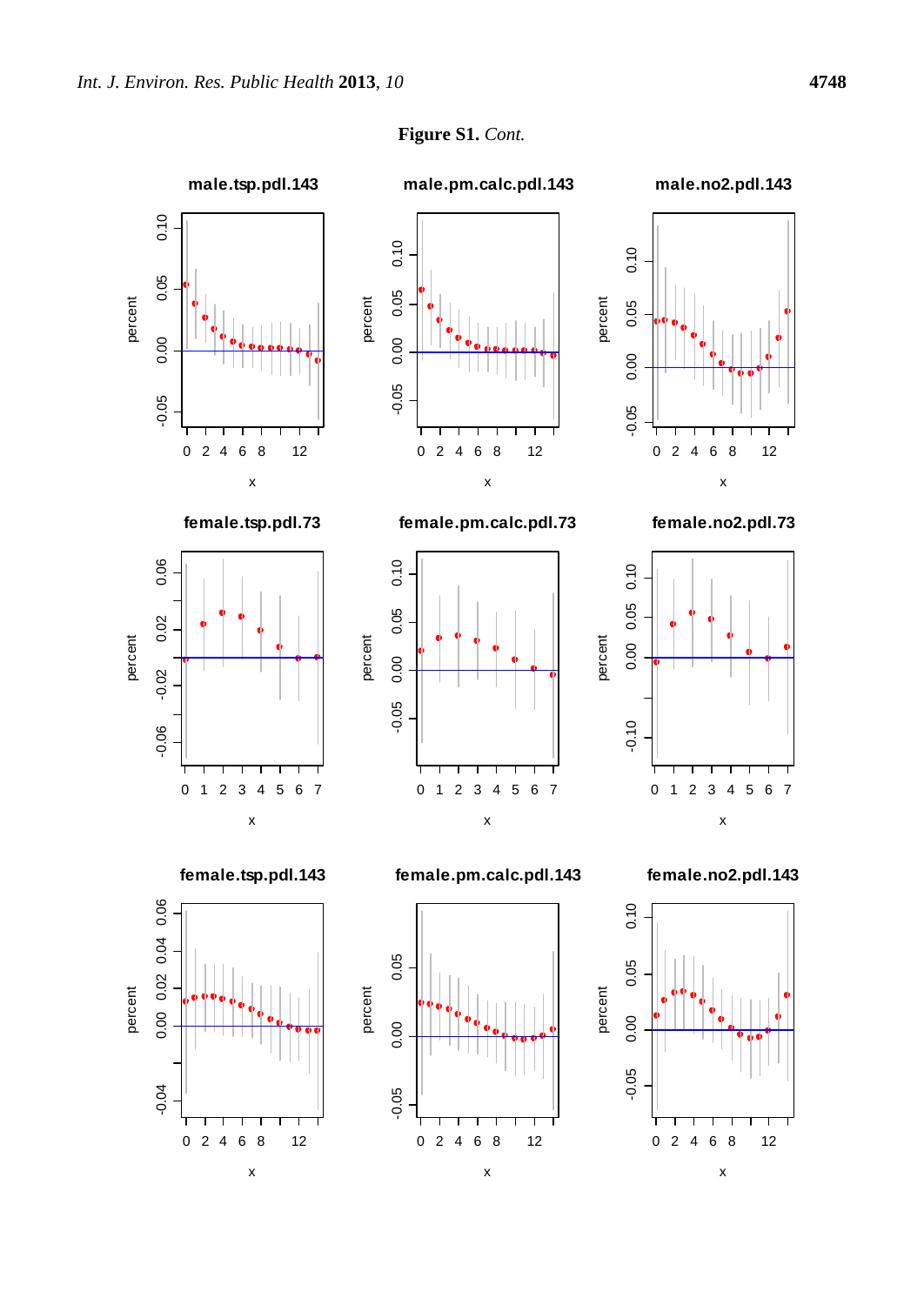

**Figure S1.** *Cont.*  $x^2$ ,  $y^2$ <br> $y^2$ <br> $y^2$ <br> $y^2$ <br> $y^2$ <br> $y^2$ <br> $y^2$ <br> $y^2$ <br> $y^2$ <br> $y^2$ <br> $y^2$ <br> $y^2$ <br> $y^2$ <br> $y^2$ <br> $y^2$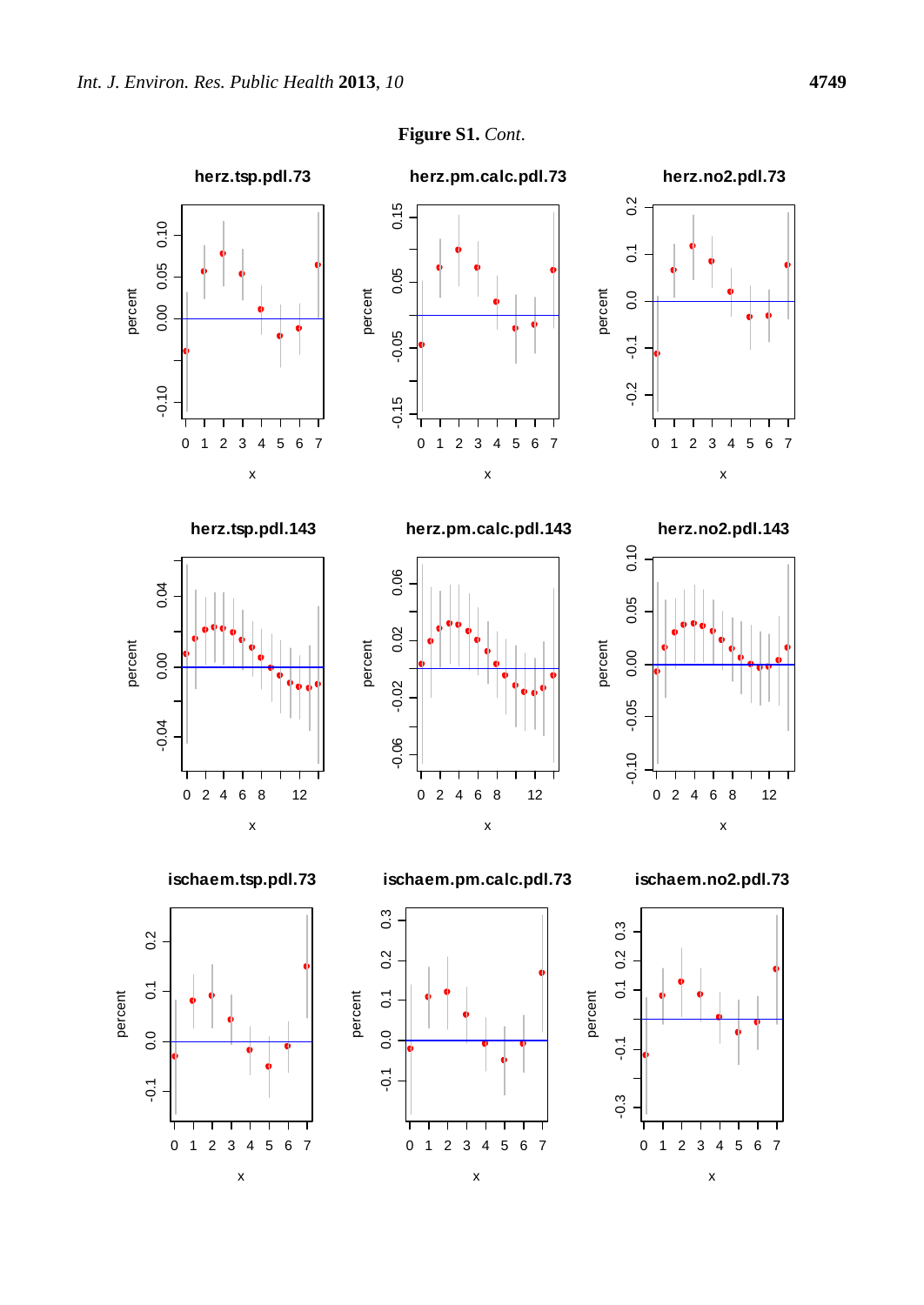

**Figure S1.** *Cont*.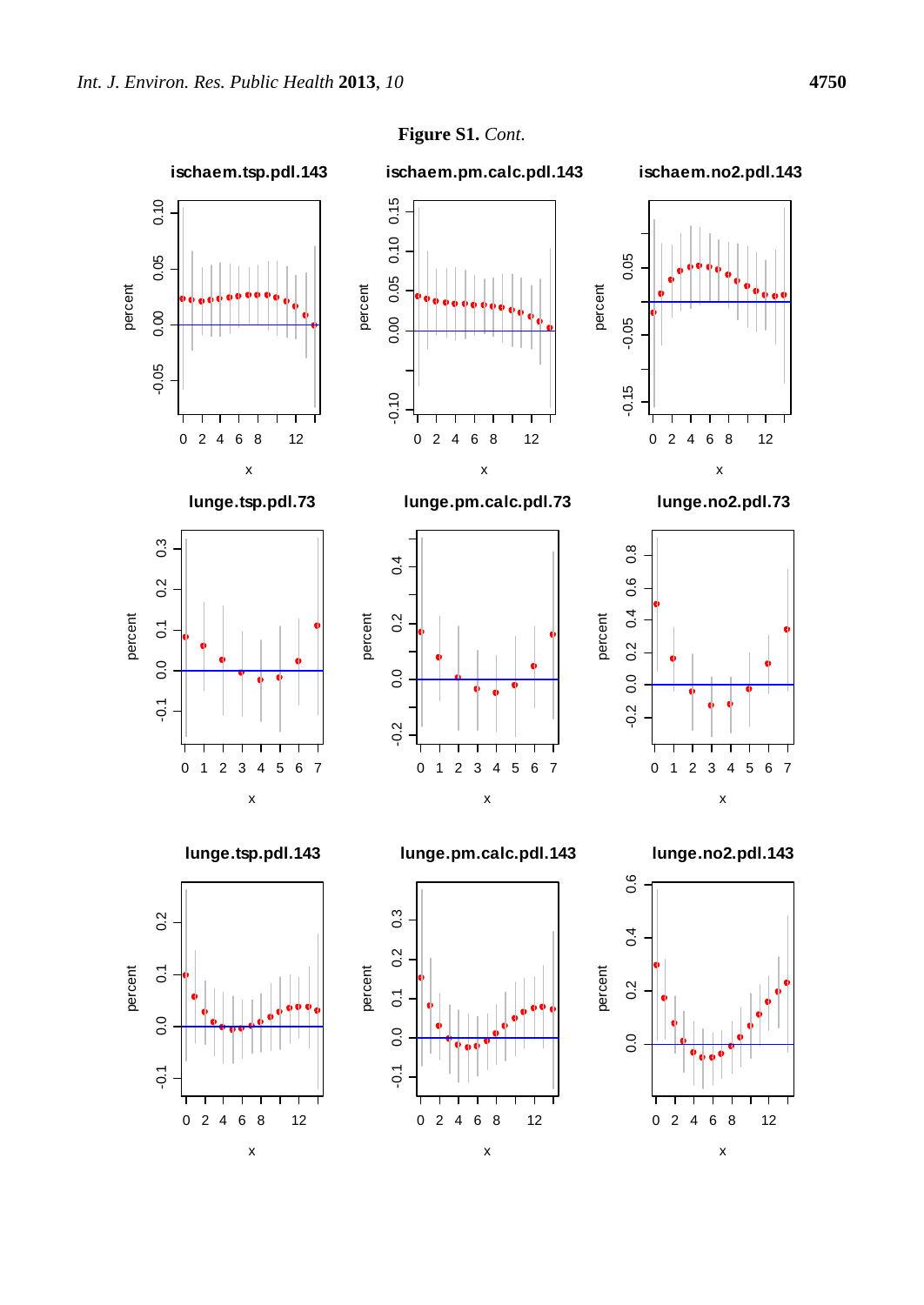